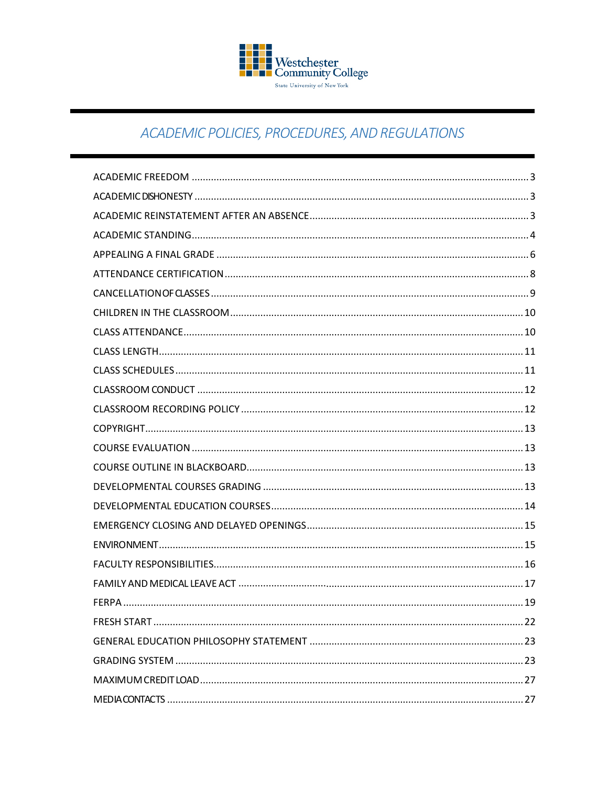

# ACADEMIC POLICIES, PROCEDURES, AND REGULATIONS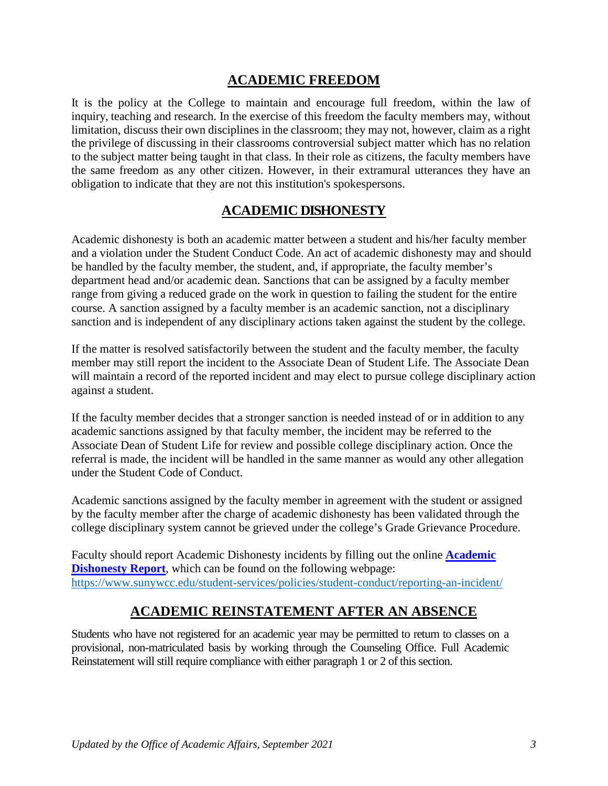## **ACADEMIC FREEDOM**

<span id="page-2-0"></span>It is the policy at the College to maintain and encourage full freedom, within the law of inquiry, teaching and research. In the exercise of this freedom the faculty members may, without limitation, discuss their own disciplines in the classroom; they may not, however, claim as a right the privilege of discussing in their classrooms controversial subject matter which has no relation to the subject matter being taught in that class. In their role as citizens, the faculty members have the same freedom as any other citizen. However, in their extramural utterances they have an obligation to indicate that they are not this institution's spokespersons.

## **ACADEMIC DISHONESTY**

<span id="page-2-1"></span>Academic dishonesty is both an academic matter between a student and his/her faculty member and a violation under the Student Conduct Code. An act of academic dishonesty may and should be handled by the faculty member, the student, and, if appropriate, the faculty member's department head and/or academic dean. Sanctions that can be assigned by a faculty member range from giving a reduced grade on the work in question to failing the student for the entire course. A sanction assigned by a faculty member is an academic sanction, not a disciplinary sanction and is independent of any disciplinary actions taken against the student by the college.

If the matter is resolved satisfactorily between the student and the faculty member, the faculty member may still report the incident to the Associate Dean of Student Life. The Associate Dean will maintain a record of the reported incident and may elect to pursue college disciplinary action against a student.

If the faculty member decides that a stronger sanction is needed instead of or in addition to any academic sanctions assigned by that faculty member, the incident may be referred to the Associate Dean of Student Life for review and possible college disciplinary action. Once the referral is made, the incident will be handled in the same manner as would any other allegation under the Student Code of Conduct.

Academic sanctions assigned by the faculty member in agreement with the student or assigned by the faculty member after the charge of academic dishonesty has been validated through the college disciplinary system cannot be grieved under the college's Grade Grievance Procedure.

Faculty should report Academic Dishonesty incidents by filling out the online **[Academic](https://www.sunywcc.edu/academicdishonestyreport)  [Dishonesty Report](https://www.sunywcc.edu/academicdishonestyreport)**, which can be found on the following webpage: <https://www.sunywcc.edu/student-services/policies/student-conduct/reporting-an-incident/>

## **ACADEMIC REINSTATEMENT AFTER AN ABSENCE**

<span id="page-2-2"></span>Students who have not registered for an academic year may be permitted to return to classes on a provisional, non-matriculated basis by working through the Counseling Office. Full Academic Reinstatement will still require compliance with either paragraph 1 or 2 of this section.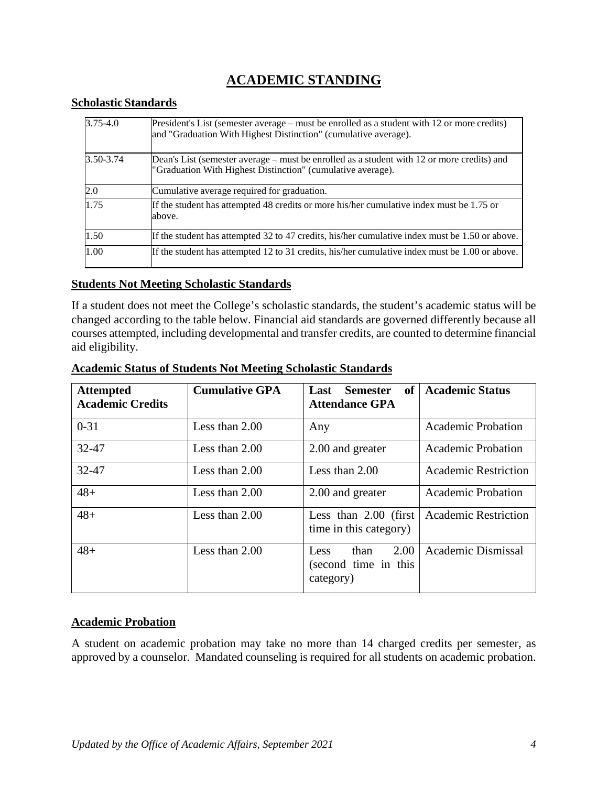# **ACADEMIC STANDING**

#### <span id="page-3-0"></span>**Scholastic Standards**

| $3.75 - 4.0$ | President's List (semester average – must be enrolled as a student with 12 or more credits)<br>and "Graduation With Highest Distinction" (cumulative average). |
|--------------|----------------------------------------------------------------------------------------------------------------------------------------------------------------|
| 3.50-3.74    | Dean's List (semester average – must be enrolled as a student with 12 or more credits) and<br>"Graduation With Highest Distinction" (cumulative average).      |
| 2.0          | Cumulative average required for graduation.                                                                                                                    |
| 1.75         | If the student has attempted 48 credits or more his/her cumulative index must be 1.75 or<br>above.                                                             |
| 1.50         | If the student has attempted 32 to 47 credits, his/her cumulative index must be 1.50 or above.                                                                 |
| 1.00         | If the student has attempted 12 to 31 credits, his/her cumulative index must be 1.00 or above.                                                                 |

#### **Students Not Meeting Scholastic Standards**

If a student does not meet the College's scholastic standards, the student's academic status will be changed according to the table below. Financial aid standards are governed differently because all courses attempted, including developmental and transfer credits, are counted to determine financial aid eligibility.

| <b>Attempted</b><br><b>Academic Credits</b> | <b>Cumulative GPA</b> | <sub>of</sub><br><b>Semester</b><br>Last<br><b>Attendance GPA</b> | <b>Academic Status</b>      |
|---------------------------------------------|-----------------------|-------------------------------------------------------------------|-----------------------------|
| $0 - 31$                                    | Less than 2.00        | Any                                                               | <b>Academic Probation</b>   |
| 32-47                                       | Less than 2.00        | 2.00 and greater                                                  | <b>Academic Probation</b>   |
| 32-47                                       | Less than $2.00$      | Less than $2.00$                                                  | <b>Academic Restriction</b> |
| $48+$                                       | Less than 2.00        | 2.00 and greater                                                  | <b>Academic Probation</b>   |
| $48+$                                       | Less than 2.00        | Less than $2.00$ (first<br>time in this category)                 | <b>Academic Restriction</b> |
| $48+$                                       | Less than 2.00        | than<br>2.00<br>Less<br>(second time in this)<br>category)        | Academic Dismissal          |

#### **Academic Status of Students Not Meeting Scholastic Standards**

#### **Academic Probation**

A student on academic probation may take no more than 14 charged credits per semester, as approved by a counselor. Mandated counseling is required for all students on academic probation.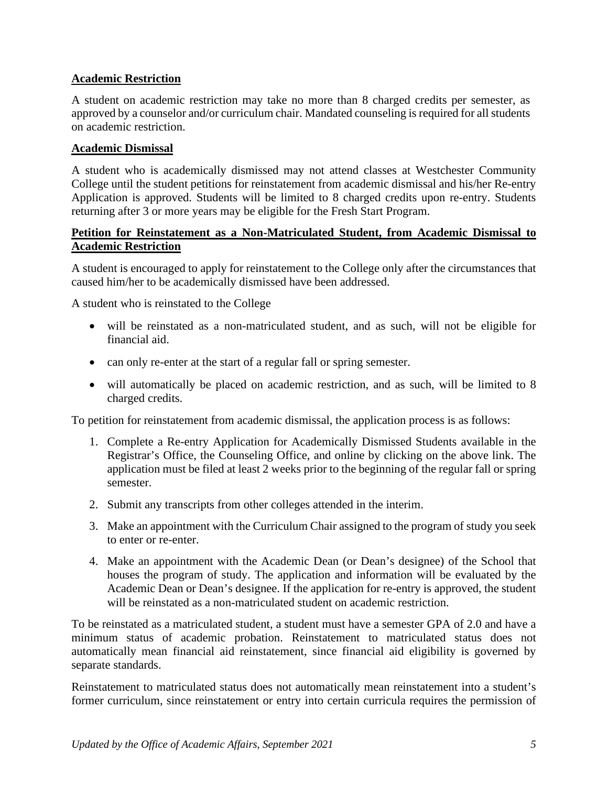### **Academic Restriction**

A student on academic restriction may take no more than 8 charged credits per semester, as approved by a counselor and/or curriculum chair. Mandated counseling is required for all students on academic restriction.

#### **Academic Dismissal**

A student who is academically dismissed may not attend classes at Westchester Community College until the student petitions for reinstatement from academic dismissal and his/her Re-entry Application is approved. Students will be limited to 8 charged credits upon re-entry. Students returning after 3 or more years may be eligible for the Fresh Start Program.

#### **Petition for Reinstatement as a Non-Matriculated Student, from Academic Dismissal to Academic Restriction**

A student is encouraged to apply for reinstatement to the College only after the circumstances that caused him/her to be academically dismissed have been addressed.

A student who is reinstated to the College

- will be reinstated as a non-matriculated student, and as such, will not be eligible for financial aid.
- can only re-enter at the start of a regular fall or spring semester.
- will automatically be placed on academic restriction, and as such, will be limited to 8 charged credits.

To petition for reinstatement from academic dismissal, the application process is as follows:

- 1. Complete a Re-entry Application for Academically Dismissed Students available in the Registrar's Office, the Counseling Office, and online by clicking on the above link. The application must be filed at least 2 weeks prior to the beginning of the regular fall or spring semester.
- 2. Submit any transcripts from other colleges attended in the interim.
- 3. Make an appointment with the Curriculum Chair assigned to the program of study you seek to enter or re-enter.
- 4. Make an appointment with the Academic Dean (or Dean's designee) of the School that houses the program of study. The application and information will be evaluated by the Academic Dean or Dean's designee. If the application for re-entry is approved, the student will be reinstated as a non-matriculated student on academic restriction.

To be reinstated as a matriculated student, a student must have a semester GPA of 2.0 and have a minimum status of academic probation. Reinstatement to matriculated status does not automatically mean financial aid reinstatement, since financial aid eligibility is governed by separate standards.

Reinstatement to matriculated status does not automatically mean reinstatement into a student's former curriculum, since reinstatement or entry into certain curricula requires the permission of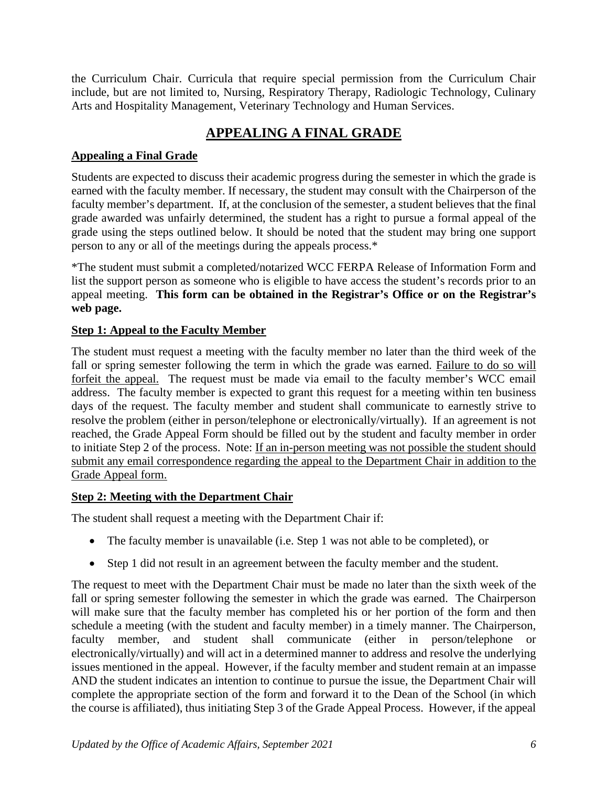the Curriculum Chair. Curricula that require special permission from the Curriculum Chair include, but are not limited to, Nursing, Respiratory Therapy, Radiologic Technology, Culinary Arts and Hospitality Management, Veterinary Technology and Human Services.

# **APPEALING A FINAL GRADE**

## <span id="page-5-0"></span>**Appealing a Final Grade**

Students are expected to discuss their academic progress during the semester in which the grade is earned with the faculty member. If necessary, the student may consult with the Chairperson of the faculty member's department. If, at the conclusion of the semester, a student believes that the final grade awarded was unfairly determined, the student has a right to pursue a formal appeal of the grade using the steps outlined below. It should be noted that the student may bring one support person to any or all of the meetings during the appeals process.\*

\*The student must submit a completed/notarized WCC FERPA Release of Information Form and list the support person as someone who is eligible to have access the student's records prior to an appeal meeting. **This form can be obtained in the Registrar's Office or on the Registrar's web page.**

### **Step 1: Appeal to the Faculty Member**

The student must request a meeting with the faculty member no later than the third week of the fall or spring semester following the term in which the grade was earned. Failure to do so will forfeit the appeal. The request must be made via email to the faculty member's WCC email address. The faculty member is expected to grant this request for a meeting within ten business days of the request. The faculty member and student shall communicate to earnestly strive to resolve the problem (either in person/telephone or electronically/virtually). If an agreement is not reached, the Grade Appeal Form should be filled out by the student and faculty member in order to initiate Step 2 of the process. Note: If an in-person meeting was not possible the student should submit any email correspondence regarding the appeal to the Department Chair in addition to the Grade Appeal form.

### **Step 2: Meeting with the Department Chair**

The student shall request a meeting with the Department Chair if:

- The faculty member is unavailable (i.e. Step 1 was not able to be completed), or
- Step 1 did not result in an agreement between the faculty member and the student.

The request to meet with the Department Chair must be made no later than the sixth week of the fall or spring semester following the semester in which the grade was earned. The Chairperson will make sure that the faculty member has completed his or her portion of the form and then schedule a meeting (with the student and faculty member) in a timely manner. The Chairperson, faculty member, and student shall communicate (either in person/telephone or electronically/virtually) and will act in a determined manner to address and resolve the underlying issues mentioned in the appeal. However, if the faculty member and student remain at an impasse AND the student indicates an intention to continue to pursue the issue, the Department Chair will complete the appropriate section of the form and forward it to the Dean of the School (in which the course is affiliated), thus initiating Step 3 of the Grade Appeal Process. However, if the appeal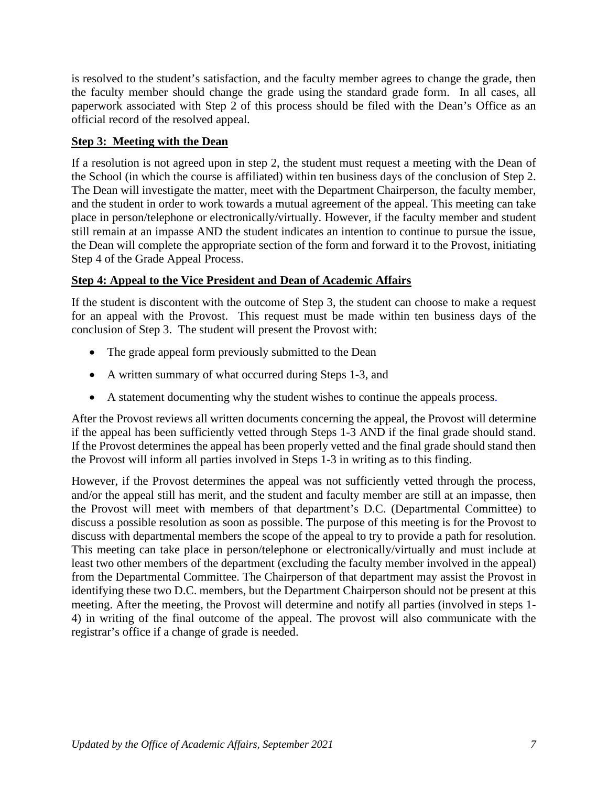is resolved to the student's satisfaction, and the faculty member agrees to change the grade, then the faculty member should change the grade using the standard grade form. In all cases, all paperwork associated with Step 2 of this process should be filed with the Dean's Office as an official record of the resolved appeal.

### **Step 3: Meeting with the Dean**

If a resolution is not agreed upon in step 2, the student must request a meeting with the Dean of the School (in which the course is affiliated) within ten business days of the conclusion of Step 2. The Dean will investigate the matter, meet with the Department Chairperson, the faculty member, and the student in order to work towards a mutual agreement of the appeal. This meeting can take place in person/telephone or electronically/virtually. However, if the faculty member and student still remain at an impasse AND the student indicates an intention to continue to pursue the issue, the Dean will complete the appropriate section of the form and forward it to the Provost, initiating Step 4 of the Grade Appeal Process.

## **Step 4: Appeal to the Vice President and Dean of Academic Affairs**

If the student is discontent with the outcome of Step 3, the student can choose to make a request for an appeal with the Provost. This request must be made within ten business days of the conclusion of Step 3. The student will present the Provost with:

- The grade appeal form previously submitted to the Dean
- A written summary of what occurred during Steps 1-3, and
- A statement documenting why the student wishes to continue the appeals process.

After the Provost reviews all written documents concerning the appeal, the Provost will determine if the appeal has been sufficiently vetted through Steps 1-3 AND if the final grade should stand. If the Provost determines the appeal has been properly vetted and the final grade should stand then the Provost will inform all parties involved in Steps 1-3 in writing as to this finding.

However, if the Provost determines the appeal was not sufficiently vetted through the process, and/or the appeal still has merit, and the student and faculty member are still at an impasse, then the Provost will meet with members of that department's D.C. (Departmental Committee) to discuss a possible resolution as soon as possible. The purpose of this meeting is for the Provost to discuss with departmental members the scope of the appeal to try to provide a path for resolution. This meeting can take place in person/telephone or electronically/virtually and must include at least two other members of the department (excluding the faculty member involved in the appeal) from the Departmental Committee. The Chairperson of that department may assist the Provost in identifying these two D.C. members, but the Department Chairperson should not be present at this meeting. After the meeting, the Provost will determine and notify all parties (involved in steps 1- 4) in writing of the final outcome of the appeal. The provost will also communicate with the registrar's office if a change of grade is needed.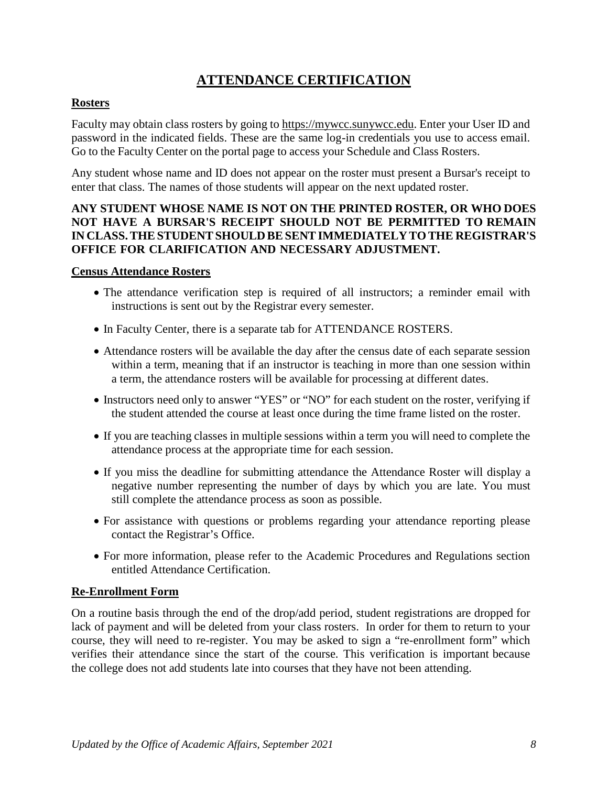# **ATTENDANCE CERTIFICATION**

### <span id="page-7-0"></span>**Rosters**

Faculty may obtain class rosters by going to [https://mywcc.sunywcc.edu.](https://mywcc.sunywcc.edu/) Enter your User ID and password in the indicated fields. These are the same log-in credentials you use to access email. Go to the Faculty Center on the portal page to access your Schedule and Class Rosters.

Any student whose name and ID does not appear on the roster must present a Bursar's receipt to enter that class. The names of those students will appear on the next updated roster.

### **ANY STUDENT WHOSE NAME IS NOT ON THE PRINTED ROSTER, OR WHO DOES NOT HAVE A BURSAR'S RECEIPT SHOULD NOT BE PERMITTED TO REMAIN IN CLASS.THESTUDENTSHOULD BESENTIMMEDIATELY TOTHE REGISTRAR'S OFFICE FOR CLARIFICATION AND NECESSARY ADJUSTMENT.**

#### **Census Attendance Rosters**

- The attendance verification step is required of all instructors; a reminder email with instructions is sent out by the Registrar every semester.
- In Faculty Center, there is a separate tab for ATTENDANCE ROSTERS.
- Attendance rosters will be available the day after the census date of each separate session within a term, meaning that if an instructor is teaching in more than one session within a term, the attendance rosters will be available for processing at different dates.
- Instructors need only to answer "YES" or "NO" for each student on the roster, verifying if the student attended the course at least once during the time frame listed on the roster.
- If you are teaching classes in multiple sessions within a term you will need to complete the attendance process at the appropriate time for each session.
- If you miss the deadline for submitting attendance the Attendance Roster will display a negative number representing the number of days by which you are late. You must still complete the attendance process as soon as possible.
- For assistance with questions or problems regarding your attendance reporting please contact the Registrar's Office.
- For more information, please refer to the Academic Procedures and Regulations section entitled Attendance Certification.

### **Re-Enrollment Form**

On a routine basis through the end of the drop/add period, student registrations are dropped for lack of payment and will be deleted from your class rosters. In order for them to return to your course, they will need to re-register. You may be asked to sign a "re-enrollment form" which verifies their attendance since the start of the course. This verification is important because the college does not add students late into courses that they have not been attending.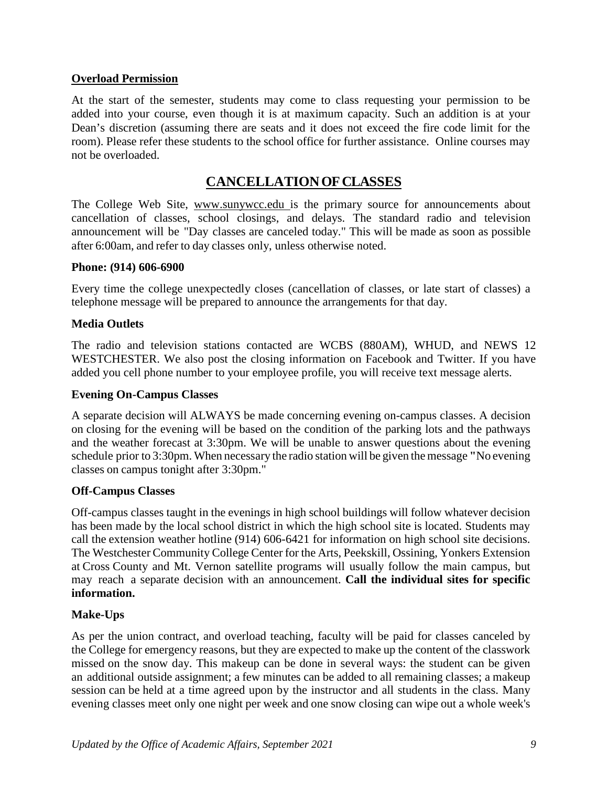#### **Overload Permission**

At the start of the semester, students may come to class requesting your permission to be added into your course, even though it is at maximum capacity. Such an addition is at your Dean's discretion (assuming there are seats and it does not exceed the fire code limit for the room). Please refer these students to the school office for further assistance. Online courses may not be overloaded.

## **CANCELLATIONOFCLASSES**

<span id="page-8-0"></span>The College Web Site, [www.sunywcc.edu](http://www.sunywcc.edu/) is the primary source for announcements about cancellation of classes, school closings, and delays. The standard radio and television announcement will be "Day classes are canceled today." This will be made as soon as possible after 6:00am, and refer to day classes only, unless otherwise noted.

#### **Phone: (914) 606-6900**

Every time the college unexpectedly closes (cancellation of classes, or late start of classes) a telephone message will be prepared to announce the arrangements for that day.

#### **Media Outlets**

The radio and television stations contacted are WCBS (880AM), WHUD, and NEWS 12 WESTCHESTER. We also post the closing information on Facebook and Twitter. If you have added you cell phone number to your employee profile, you will receive text message alerts.

#### **Evening On-Campus Classes**

A separate decision will ALWAYS be made concerning evening on-campus classes. A decision on closing for the evening will be based on the condition of the parking lots and the pathways and the weather forecast at 3:30pm. We will be unable to answer questions about the evening schedule prior to 3:30pm. When necessary the radio station will be given the message **"**No evening classes on campus tonight after 3:30pm."

#### **Off-Campus Classes**

Off-campus classes taught in the evenings in high school buildings will follow whatever decision has been made by the local school district in which the high school site is located. Students may call the extension weather hotline (914) 606-6421 for information on high school site decisions. The Westchester Community College Center for the Arts, Peekskill, Ossining, Yonkers Extension at Cross County and Mt. Vernon satellite programs will usually follow the main campus, but may reach a separate decision with an announcement. **Call the individual sites for specific information.**

#### **Make-Ups**

As per the union contract, and overload teaching, faculty will be paid for classes canceled by the College for emergency reasons, but they are expected to make up the content of the classwork missed on the snow day. This makeup can be done in several ways: the student can be given an additional outside assignment; a few minutes can be added to all remaining classes; a makeup session can be held at a time agreed upon by the instructor and all students in the class. Many evening classes meet only one night per week and one snow closing can wipe out a whole week's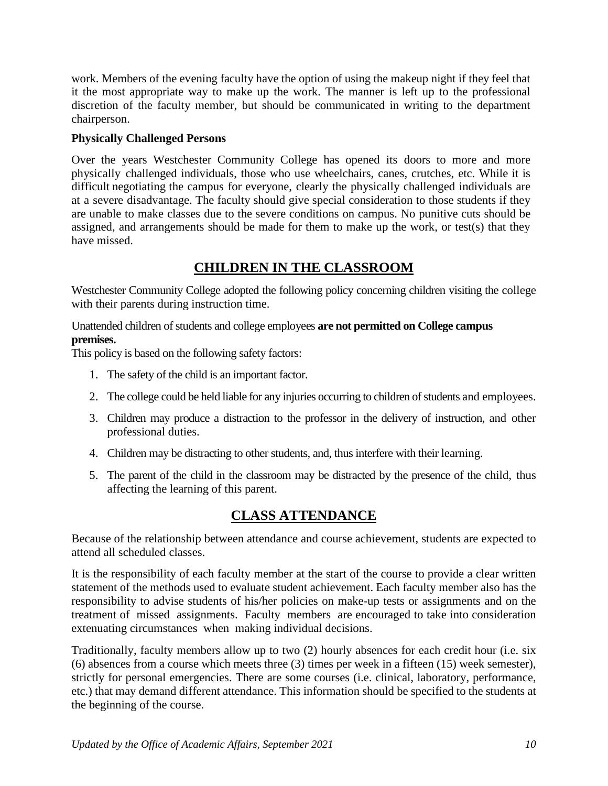work. Members of the evening faculty have the option of using the makeup night if they feel that it the most appropriate way to make up the work. The manner is left up to the professional discretion of the faculty member, but should be communicated in writing to the department chairperson.

### **Physically Challenged Persons**

Over the years Westchester Community College has opened its doors to more and more physically challenged individuals, those who use wheelchairs, canes, crutches, etc. While it is difficult negotiating the campus for everyone, clearly the physically challenged individuals are at a severe disadvantage. The faculty should give special consideration to those students if they are unable to make classes due to the severe conditions on campus. No punitive cuts should be assigned, and arrangements should be made for them to make up the work, or test(s) that they have missed.

## **CHILDREN IN THE CLASSROOM**

<span id="page-9-0"></span>Westchester Community College adopted the following policy concerning children visiting the college with their parents during instruction time.

### Unattended children of students and college employees are not permitted on College campus **premises.**

This policy is based on the following safety factors:

- 1. The safety of the child is an important factor.
- 2. The college could be held liable for any injuries occurring to children of students and employees.
- 3. Children may produce a distraction to the professor in the delivery of instruction, and other professional duties.
- 4. Children may be distracting to other students, and, thus interfere with their learning.
- 5. The parent of the child in the classroom may be distracted by the presence of the child, thus affecting the learning of this parent.

## **CLASS ATTENDANCE**

<span id="page-9-1"></span>Because of the relationship between attendance and course achievement, students are expected to attend all scheduled classes.

It is the responsibility of each faculty member at the start of the course to provide a clear written statement of the methods used to evaluate student achievement. Each faculty member also has the responsibility to advise students of his/her policies on make-up tests or assignments and on the treatment of missed assignments. Faculty members are encouraged to take into consideration extenuating circumstances when making individual decisions.

Traditionally, faculty members allow up to two (2) hourly absences for each credit hour (i.e. six (6) absences from a course which meets three (3) times per week in a fifteen (15) week semester), strictly for personal emergencies. There are some courses (i.e. clinical, laboratory, performance, etc.) that may demand different attendance. This information should be specified to the students at the beginning of the course.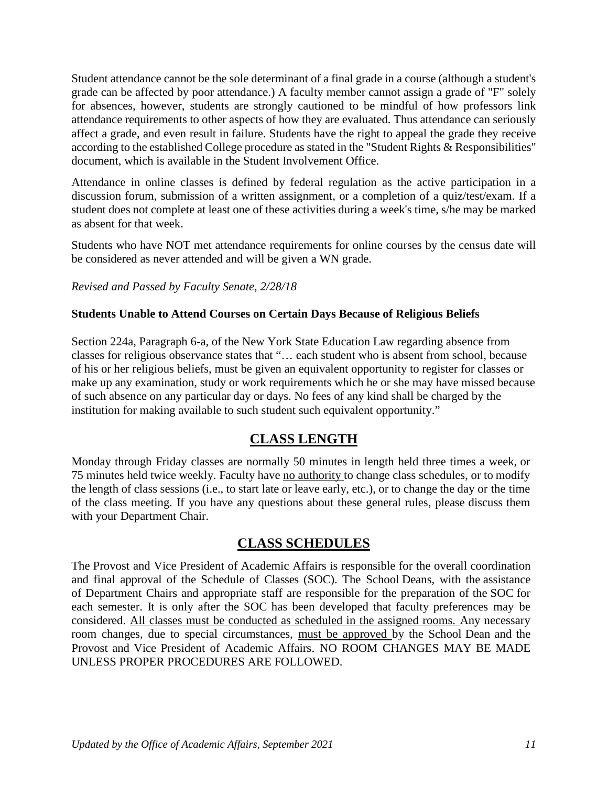Student attendance cannot be the sole determinant of a final grade in a course (although a student's grade can be affected by poor attendance.) A faculty member cannot assign a grade of "F" solely for absences, however, students are strongly cautioned to be mindful of how professors link attendance requirements to other aspects of how they are evaluated. Thus attendance can seriously affect a grade, and even result in failure. Students have the right to appeal the grade they receive according to the established College procedure as stated in the "Student Rights & Responsibilities" document, which is available in the Student Involvement Office.

Attendance in online classes is defined by federal regulation as the active participation in a discussion forum, submission of a written assignment, or a completion of a quiz/test/exam. If a student does not complete at least one of these activities during a week's time, s/he may be marked as absent for that week.

Students who have NOT met attendance requirements for online courses by the census date will be considered as never attended and will be given a WN grade.

#### *Revised and Passed by Faculty Senate, 2/28/18*

#### **Students Unable to Attend Courses on Certain Days Because of Religious Beliefs**

Section 224a, Paragraph 6-a, of the New York State Education Law regarding absence from classes for religious observance states that "… each student who is absent from school, because of his or her religious beliefs, must be given an equivalent opportunity to register for classes or make up any examination, study or work requirements which he or she may have missed because of such absence on any particular day or days. No fees of any kind shall be charged by the institution for making available to such student such equivalent opportunity."

## **CLASS LENGTH**

<span id="page-10-0"></span>Monday through Friday classes are normally 50 minutes in length held three times a week, or 75 minutes held twice weekly. Faculty have no authority to change class schedules, or to modify the length of class sessions (i.e., to start late or leave early, etc.), or to change the day or the time of the class meeting. If you have any questions about these general rules, please discuss them with your Department Chair.

### **CLASS SCHEDULES**

<span id="page-10-1"></span>The Provost and Vice President of Academic Affairs is responsible for the overall coordination and final approval of the Schedule of Classes (SOC). The School Deans, with the assistance of Department Chairs and appropriate staff are responsible for the preparation of the SOC for each semester. It is only after the SOC has been developed that faculty preferences may be considered. All classes must be conducted as scheduled in the assigned rooms. Any necessary room changes, due to special circumstances, must be approved by the School Dean and the Provost and Vice President of Academic Affairs. NO ROOM CHANGES MAY BE MADE UNLESS PROPER PROCEDURES ARE FOLLOWED.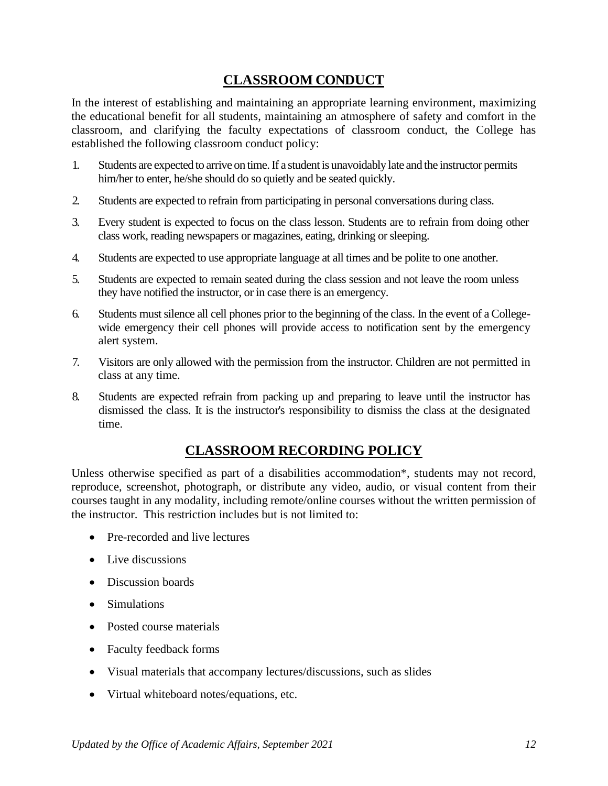## **CLASSROOM CONDUCT**

<span id="page-11-0"></span>In the interest of establishing and maintaining an appropriate learning environment, maximizing the educational benefit for all students, maintaining an atmosphere of safety and comfort in the classroom, and clarifying the faculty expectations of classroom conduct, the College has established the following classroom conduct policy:

- 1. Students are expected to arrive on time. If a student is unavoidably late and the instructor permits him/her to enter, he/she should do so quietly and be seated quickly.
- 2. Students are expected to refrain from participating in personal conversations during class.
- 3. Every student is expected to focus on the class lesson. Students are to refrain from doing other class work, reading newspapers or magazines, eating, drinking or sleeping.
- 4. Students are expected to use appropriate language at all times and be polite to one another.
- 5. Students are expected to remain seated during the class session and not leave the room unless they have notified the instructor, or in case there is an emergency.
- 6. Students must silence all cell phones prior to the beginning of the class. In the event of a Collegewide emergency their cell phones will provide access to notification sent by the emergency alert system.
- 7. Visitors are only allowed with the permission from the instructor. Children are not permitted in class at any time.
- 8. Students are expected refrain from packing up and preparing to leave until the instructor has dismissed the class. It is the instructor's responsibility to dismiss the class at the designated time.

## **CLASSROOM RECORDING POLICY**

<span id="page-11-1"></span>Unless otherwise specified as part of a disabilities accommodation\*, students may not record, reproduce, screenshot, photograph, or distribute any video, audio, or visual content from their courses taught in any modality, including remote/online courses without the written permission of the instructor. This restriction includes but is not limited to:

- Pre-recorded and live lectures
- Live discussions
- Discussion boards
- Simulations
- Posted course materials
- Faculty feedback forms
- Visual materials that accompany lectures/discussions, such as slides
- Virtual whiteboard notes/equations, etc.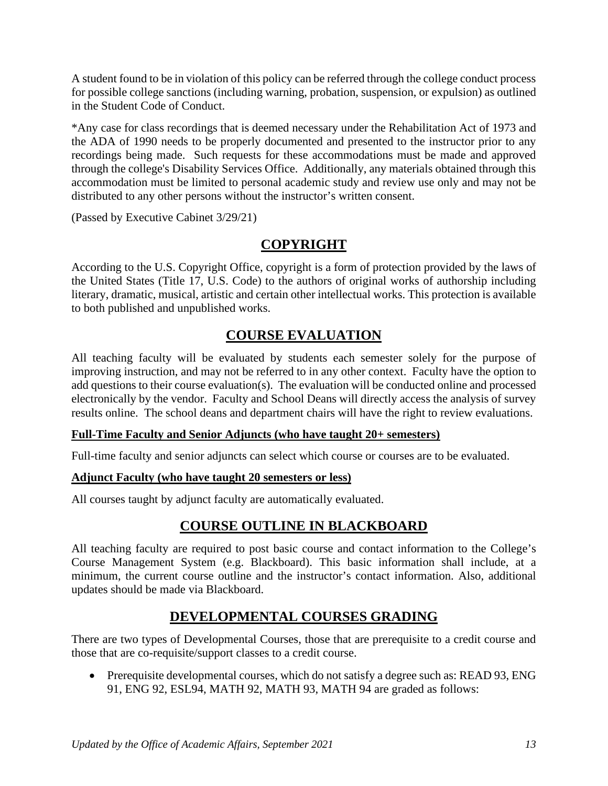A student found to be in violation of this policy can be referred through the college conduct process for possible college sanctions (including warning, probation, suspension, or expulsion) as outlined in the Student Code of Conduct.

\*Any case for class recordings that is deemed necessary under the Rehabilitation Act of 1973 and the ADA of 1990 needs to be properly documented and presented to the instructor prior to any recordings being made. Such requests for these accommodations must be made and approved through the college's Disability Services Office. Additionally, any materials obtained through this accommodation must be limited to personal academic study and review use only and may not be distributed to any other persons without the instructor's written consent.

<span id="page-12-0"></span>(Passed by Executive Cabinet 3/29/21)

# **COPYRIGHT**

According to the U.S. Copyright Office, copyright is a form of protection provided by the laws of the United States (Title 17, U.S. Code) to the authors of original works of authorship including literary, dramatic, musical, artistic and certain other intellectual works. This protection is available to both published and unpublished works.

## **COURSE EVALUATION**

<span id="page-12-1"></span>All teaching faculty will be evaluated by students each semester solely for the purpose of improving instruction, and may not be referred to in any other context. Faculty have the option to add questions to their course evaluation(s). The evaluation will be conducted online and processed electronically by the vendor. Faculty and School Deans will directly access the analysis of survey results online. The school deans and department chairs will have the right to review evaluations.

### **Full-Time Faculty and Senior Adjuncts (who have taught 20+ semesters)**

Full-time faculty and senior adjuncts can select which course or courses are to be evaluated.

### **Adjunct Faculty (who have taught 20 semesters or less)**

<span id="page-12-2"></span>All courses taught by adjunct faculty are automatically evaluated.

## **COURSE OUTLINE IN BLACKBOARD**

All teaching faculty are required to post basic course and contact information to the College's Course Management System (e.g. Blackboard). This basic information shall include, at a minimum, the current course outline and the instructor's contact information. Also, additional updates should be made via Blackboard.

## **DEVELOPMENTAL COURSES GRADING**

<span id="page-12-3"></span>There are two types of Developmental Courses, those that are prerequisite to a credit course and those that are co-requisite/support classes to a credit course.

• Prerequisite developmental courses, which do not satisfy a degree such as: READ 93, ENG 91, ENG 92, ESL94, MATH 92, MATH 93, MATH 94 are graded as follows: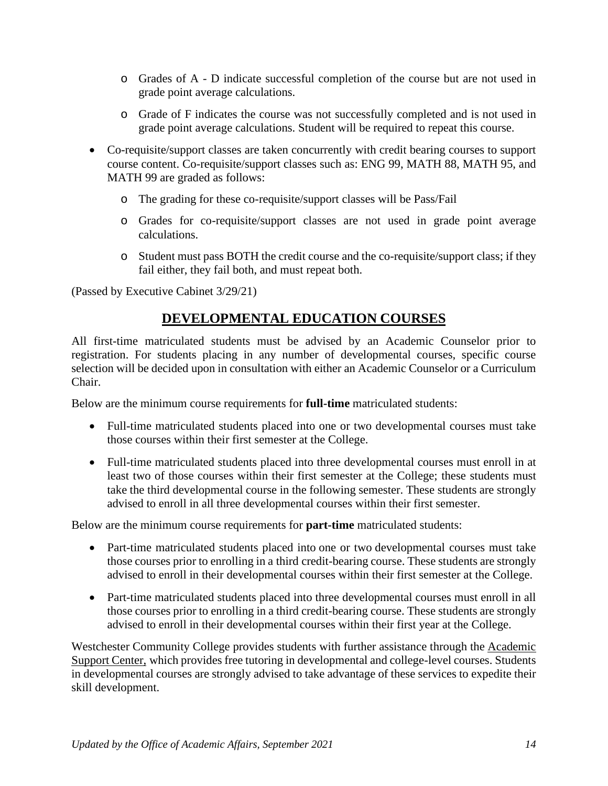- o Grades of A D indicate successful completion of the course but are not used in grade point average calculations.
- o Grade of F indicates the course was not successfully completed and is not used in grade point average calculations. Student will be required to repeat this course.
- Co-requisite/support classes are taken concurrently with credit bearing courses to support course content. Co-requisite/support classes such as: ENG 99, MATH 88, MATH 95, and MATH 99 are graded as follows:
	- o The grading for these co-requisite/support classes will be Pass/Fail
	- o Grades for co-requisite/support classes are not used in grade point average calculations.
	- o Student must pass BOTH the credit course and the co-requisite/support class; if they fail either, they fail both, and must repeat both.

<span id="page-13-0"></span>(Passed by Executive Cabinet 3/29/21)

## **DEVELOPMENTAL EDUCATION COURSES**

All first-time matriculated students must be advised by an Academic Counselor prior to registration. For students placing in any number of developmental courses, specific course selection will be decided upon in consultation with either an Academic Counselor or a Curriculum Chair.

Below are the minimum course requirements for **full-time** matriculated students:

- Full-time matriculated students placed into one or two developmental courses must take those courses within their first semester at the College.
- Full-time matriculated students placed into three developmental courses must enroll in at least two of those courses within their first semester at the College; these students must take the third developmental course in the following semester. These students are strongly advised to enroll in all three developmental courses within their first semester.

Below are the minimum course requirements for **part-time** matriculated students:

- Part-time matriculated students placed into one or two developmental courses must take those courses prior to enrolling in a third credit-bearing course. These students are strongly advised to enroll in their developmental courses within their first semester at the College.
- Part-time matriculated students placed into three developmental courses must enroll in all those courses prior to enrolling in a third credit-bearing course. These students are strongly advised to enroll in their developmental courses within their first year at the College.

Westchester Community College provides students with further assistance through the [Academic](http://catalog.sunywcc.edu/content.php?catoid=42&navoid=6599#Academic_Support_Services_) [Support](http://catalog.sunywcc.edu/content.php?catoid=42&navoid=6599#Academic_Support_Services_) Center, which provides free tutoring in developmental and college-level courses. Students in developmental courses are strongly advised to take advantage of these services to expedite their skill development.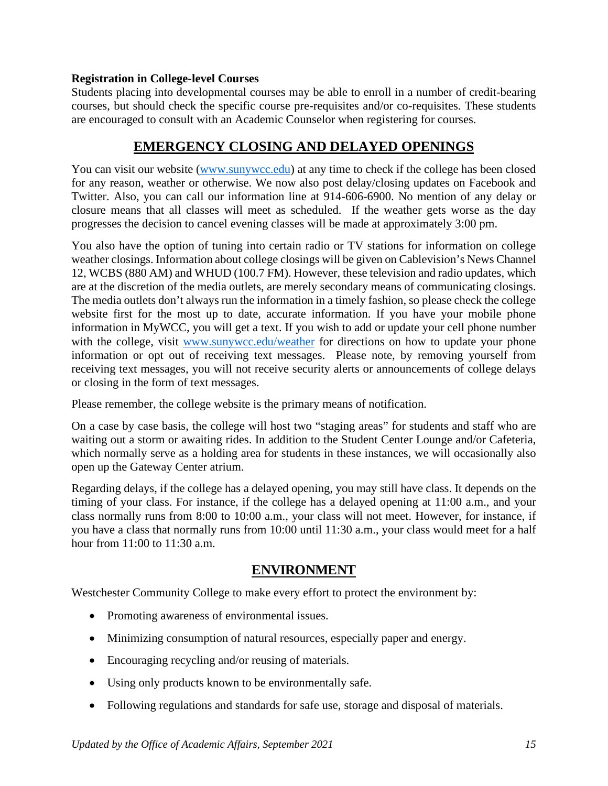### **Registration in College-level Courses**

Students placing into developmental courses may be able to enroll in a number of credit-bearing courses, but should check the specific course pre-requisites and/or co-requisites. These students are encouraged to consult with an Academic Counselor when registering for courses.

## **EMERGENCY CLOSING AND DELAYED OPENINGS**

<span id="page-14-0"></span>You can visit our website [\(www.sunywcc.edu\)](http://www.sunywcc.edu/) at any time to check if the college has been closed for any reason, weather or otherwise. We now also post delay/closing updates on Facebook and Twitter. Also, you can call our information line at 914-606-6900. No mention of any delay or closure means that all classes will meet as scheduled. If the weather gets worse as the day progresses the decision to cancel evening classes will be made at approximately 3:00 pm.

You also have the option of tuning into certain radio or TV stations for information on college weather closings. Information about college closings will be given on Cablevision's News Channel 12, WCBS (880 AM) and WHUD (100.7 FM). However, these television and radio updates, which are at the discretion of the media outlets, are merely secondary means of communicating closings. The media outlets don't always run the information in a timely fashion, so please check the college website first for the most up to date, accurate information. If you have your mobile phone information in MyWCC, you will get a text. If you wish to add or update your cell phone number with the college, visit [www.sunywcc.edu/weather](http://www.sunywcc.edu/weather) for directions on how to update your phone information or opt out of receiving text messages. Please note, by removing yourself from receiving text messages, you will not receive security alerts or announcements of college delays or closing in the form of text messages.

Please remember, the college website is the primary means of notification.

On a case by case basis, the college will host two "staging areas" for students and staff who are waiting out a storm or awaiting rides. In addition to the Student Center Lounge and/or Cafeteria, which normally serve as a holding area for students in these instances, we will occasionally also open up the Gateway Center atrium.

Regarding delays, if the college has a delayed opening, you may still have class. It depends on the timing of your class. For instance, if the college has a delayed opening at 11:00 a.m., and your class normally runs from 8:00 to 10:00 a.m., your class will not meet. However, for instance, if you have a class that normally runs from 10:00 until 11:30 a.m., your class would meet for a half hour from 11:00 to 11:30 a.m.

## **ENVIRONMENT**

<span id="page-14-1"></span>Westchester Community College to make every effort to protect the environment by:

- Promoting awareness of environmental issues.
- Minimizing consumption of natural resources, especially paper and energy.
- Encouraging recycling and/or reusing of materials.
- Using only products known to be environmentally safe.
- Following regulations and standards for safe use, storage and disposal of materials.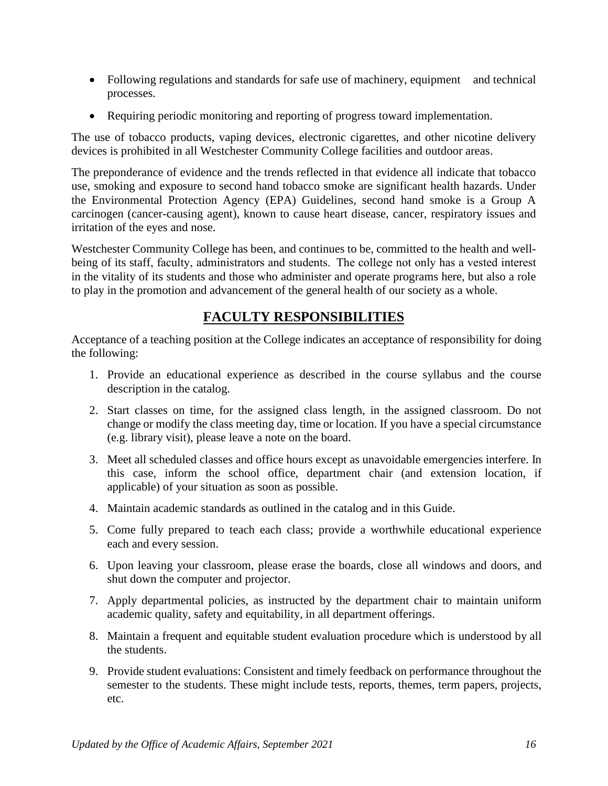- Following regulations and standards for safe use of machinery, equipment and technical processes.
- Requiring periodic monitoring and reporting of progress toward implementation.

The use of tobacco products, vaping devices, electronic cigarettes, and other nicotine delivery devices is prohibited in all Westchester Community College facilities and outdoor areas.

The preponderance of evidence and the trends reflected in that evidence all indicate that tobacco use, smoking and exposure to second hand tobacco smoke are significant health hazards. Under the Environmental Protection Agency (EPA) Guidelines, second hand smoke is a Group A carcinogen (cancer-causing agent), known to cause heart disease, cancer, respiratory issues and irritation of the eyes and nose.

Westchester Community College has been, and continues to be, committed to the health and wellbeing of its staff, faculty, administrators and students.  The college not only has a vested interest in the vitality of its students and those who administer and operate programs here, but also a role to play in the promotion and advancement of the general health of our society as a whole.

## **FACULTY RESPONSIBILITIES**

<span id="page-15-0"></span>Acceptance of a teaching position at the College indicates an acceptance of responsibility for doing the following:

- 1. Provide an educational experience as described in the course syllabus and the course description in the catalog.
- 2. Start classes on time, for the assigned class length, in the assigned classroom. Do not change or modify the class meeting day, time or location. If you have a special circumstance (e.g. library visit), please leave a note on the board.
- 3. Meet all scheduled classes and office hours except as unavoidable emergencies interfere. In this case, inform the school office, department chair (and extension location, if applicable) of your situation as soon as possible.
- 4. Maintain academic standards as outlined in the catalog and in this Guide.
- 5. Come fully prepared to teach each class; provide a worthwhile educational experience each and every session.
- 6. Upon leaving your classroom, please erase the boards, close all windows and doors, and shut down the computer and projector.
- 7. Apply departmental policies, as instructed by the department chair to maintain uniform academic quality, safety and equitability, in all department offerings.
- 8. Maintain a frequent and equitable student evaluation procedure which is understood by all the students.
- 9. Provide student evaluations: Consistent and timely feedback on performance throughout the semester to the students. These might include tests, reports, themes, term papers, projects, etc.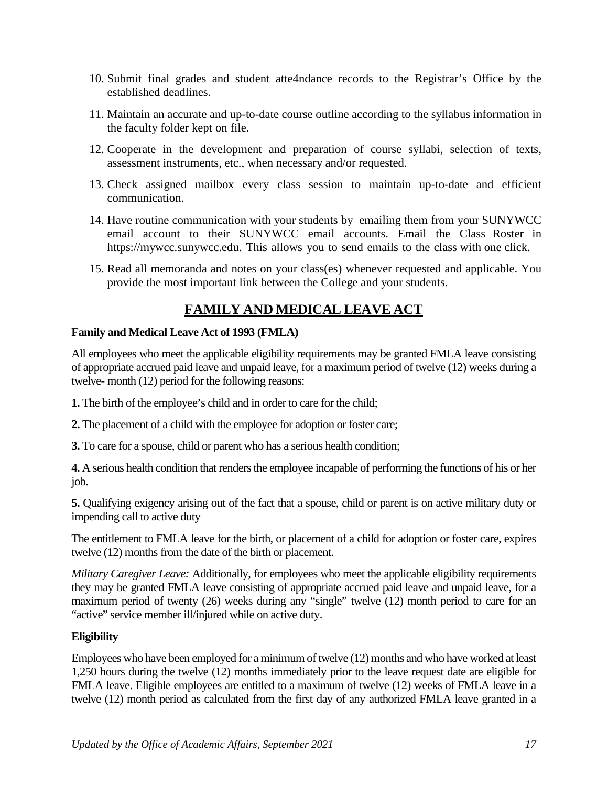- 10. Submit final grades and student atte4ndance records to the Registrar's Office by the established deadlines.
- 11. Maintain an accurate and up-to-date course outline according to the syllabus information in the faculty folder kept on file.
- 12. Cooperate in the development and preparation of course syllabi, selection of texts, assessment instruments, etc., when necessary and/or requested.
- 13. Check assigned mailbox every class session to maintain up-to-date and efficient communication.
- 14. Have routine communication with your students by emailing them from your SUNYWCC email account to their SUNYWCC email accounts. Email the Class Roster in [https://mywcc.sunywcc.edu.](https://mywcc.sunywcc.edu/) This allows you to send emails to the class with one click.
- 15. Read all memoranda and notes on your class(es) whenever requested and applicable. You provide the most important link between the College and your students.

# **FAMILY AND MEDICAL LEAVE ACT**

#### <span id="page-16-0"></span>**Family and Medical Leave Act of 1993 (FMLA)**

All employees who meet the applicable eligibility requirements may be granted FMLA leave consisting of appropriate accrued paid leave and unpaid leave, for a maximum period of twelve (12) weeks during a twelve- month (12) period for the following reasons:

**1.** The birth of the employee's child and in order to care for the child;

**2.** The placement of a child with the employee for adoption or foster care;

**3.** To care for a spouse, child or parent who has a serious health condition;

**4.** A serious health condition that renders the employee incapable of performing the functions of his or her job.

**5.** Qualifying exigency arising out of the fact that a spouse, child or parent is on active military duty or impending call to active duty

The entitlement to FMLA leave for the birth, or placement of a child for adoption or foster care, expires twelve (12) months from the date of the birth or placement.

*Military Caregiver Leave:* Additionally, for employees who meet the applicable eligibility requirements they may be granted FMLA leave consisting of appropriate accrued paid leave and unpaid leave, for a maximum period of twenty (26) weeks during any "single" twelve (12) month period to care for an "active" service member ill/injured while on active duty.

#### **Eligibility**

Employees who have been employed for a minimum of twelve (12) months and who have worked at least 1,250 hours during the twelve (12) months immediately prior to the leave request date are eligible for FMLA leave. Eligible employees are entitled to a maximum of twelve (12) weeks of FMLA leave in a twelve (12) month period as calculated from the first day of any authorized FMLA leave granted in a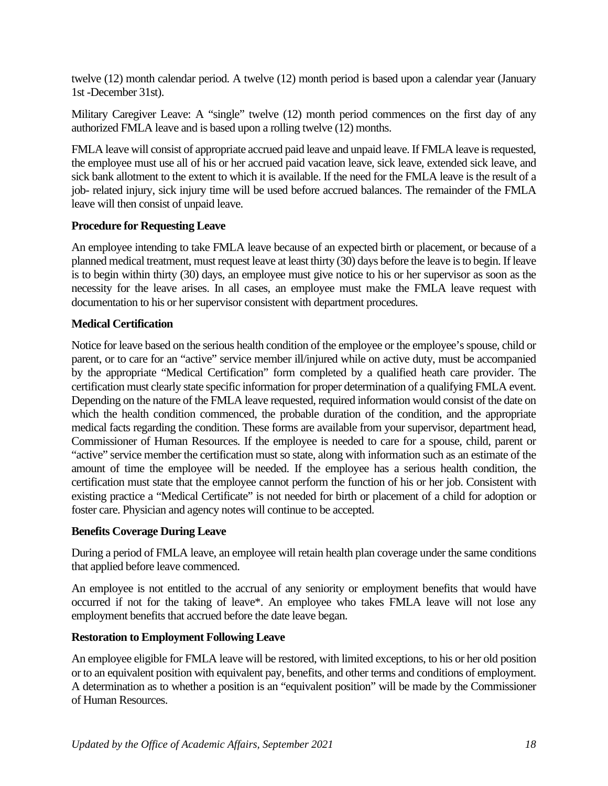twelve (12) month calendar period. A twelve (12) month period is based upon a calendar year (January 1st -December 31st).

Military Caregiver Leave: A "single" twelve (12) month period commences on the first day of any authorized FMLA leave and is based upon a rolling twelve (12) months.

FMLA leave will consist of appropriate accrued paid leave and unpaid leave. If FMLA leave is requested, the employee must use all of his or her accrued paid vacation leave, sick leave, extended sick leave, and sick bank allotment to the extent to which it is available. If the need for the FMLA leave is the result of a job- related injury, sick injury time will be used before accrued balances. The remainder of the FMLA leave will then consist of unpaid leave.

#### **Procedure for Requesting Leave**

An employee intending to take FMLA leave because of an expected birth or placement, or because of a planned medical treatment, must request leave at least thirty (30) days before the leave is to begin. If leave is to begin within thirty (30) days, an employee must give notice to his or her supervisor as soon as the necessity for the leave arises. In all cases, an employee must make the FMLA leave request with documentation to his or her supervisor consistent with department procedures.

#### **Medical Certification**

Notice for leave based on the serious health condition of the employee or the employee's spouse, child or parent, or to care for an "active" service member ill/injured while on active duty, must be accompanied by the appropriate "Medical Certification" form completed by a qualified heath care provider. The certification must clearly state specific information for proper determination of a qualifying FMLA event. Depending on the nature of the FMLA leave requested, required information would consist of the date on which the health condition commenced, the probable duration of the condition, and the appropriate medical facts regarding the condition. These forms are available from your supervisor, department head, Commissioner of Human Resources. If the employee is needed to care for a spouse, child, parent or "active" service member the certification must so state, along with information such as an estimate of the amount of time the employee will be needed. If the employee has a serious health condition, the certification must state that the employee cannot perform the function of his or her job. Consistent with existing practice a "Medical Certificate" is not needed for birth or placement of a child for adoption or foster care. Physician and agency notes will continue to be accepted.

#### **Benefits Coverage During Leave**

During a period of FMLA leave, an employee will retain health plan coverage under the same conditions that applied before leave commenced.

An employee is not entitled to the accrual of any seniority or employment benefits that would have occurred if not for the taking of leave\*. An employee who takes FMLA leave will not lose any employment benefits that accrued before the date leave began.

### **Restoration to Employment Following Leave**

An employee eligible for FMLA leave will be restored, with limited exceptions, to his or her old position or to an equivalent position with equivalent pay, benefits, and other terms and conditions of employment. A determination as to whether a position is an "equivalent position" will be made by the Commissioner of Human Resources.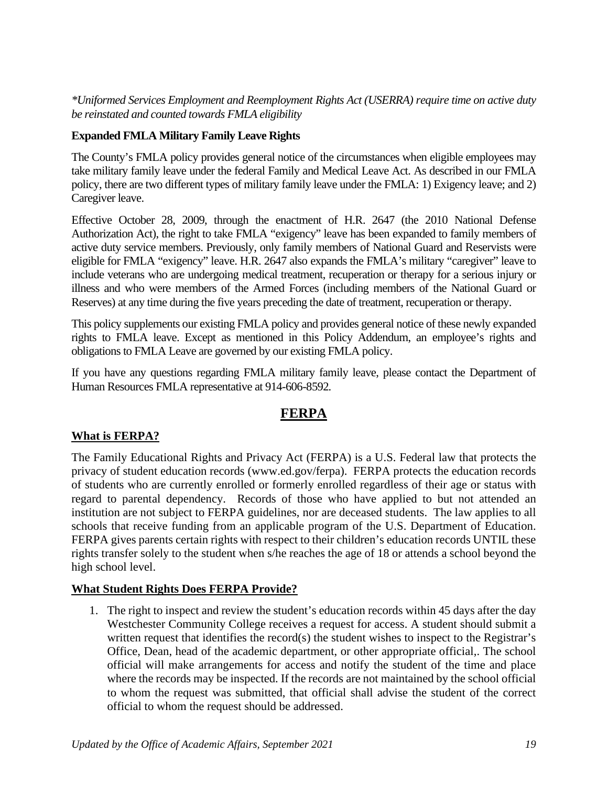### *\*Uniformed Services Employment and Reemployment Rights Act (USERRA) require time on active duty be reinstated and counted towards FMLA eligibility*

### **Expanded FMLA Military Family Leave Rights**

The County's FMLA policy provides general notice of the circumstances when eligible employees may take military family leave under the federal Family and Medical Leave Act. As described in our FMLA policy, there are two different types of military family leave under the FMLA: 1) Exigency leave; and 2) Caregiver leave.

Effective October 28, 2009, through the enactment of H.R. 2647 (the 2010 National Defense Authorization Act), the right to take FMLA "exigency" leave has been expanded to family members of active duty service members. Previously, only family members of National Guard and Reservists were eligible for FMLA "exigency" leave. H.R. 2647 also expands the FMLA's military "caregiver" leave to include veterans who are undergoing medical treatment, recuperation or therapy for a serious injury or illness and who were members of the Armed Forces (including members of the National Guard or Reserves) at any time during the five years preceding the date of treatment, recuperation or therapy.

This policy supplements our existing FMLA policy and provides general notice of these newly expanded rights to FMLA leave. Except as mentioned in this Policy Addendum, an employee's rights and obligations to FMLA Leave are governed by our existing FMLA policy.

If you have any questions regarding FMLA military family leave, please contact the Department of Human Resources FMLA representative at 914-606-8592*.*

## **FERPA**

#### <span id="page-18-0"></span>**What is FERPA?**

The Family Educational Rights and Privacy Act (FERPA) is a U.S. Federal law that protects the privacy of student education records (www.ed.gov/ferpa). FERPA protects the education records of students who are currently enrolled or formerly enrolled regardless of their age or status with regard to parental dependency. Records of those who have applied to but not attended an institution are not subject to FERPA guidelines, nor are deceased students. The law applies to all schools that receive funding from an applicable program of the U.S. Department of Education. FERPA gives parents certain rights with respect to their children's education records UNTIL these rights transfer solely to the student when s/he reaches the age of 18 or attends a school beyond the high school level.

#### **What Student Rights Does FERPA Provide?**

1. The right to inspect and review the student's education records within 45 days after the day Westchester Community College receives a request for access. A student should submit a written request that identifies the record(s) the student wishes to inspect to the Registrar's Office, Dean, head of the academic department, or other appropriate official,. The school official will make arrangements for access and notify the student of the time and place where the records may be inspected. If the records are not maintained by the school official to whom the request was submitted, that official shall advise the student of the correct official to whom the request should be addressed.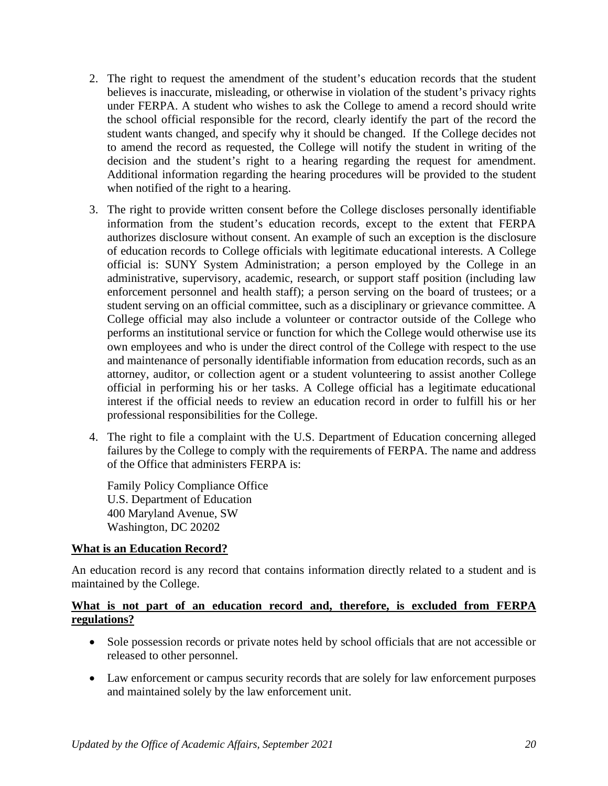- 2. The right to request the amendment of the student's education records that the student believes is inaccurate, misleading, or otherwise in violation of the student's privacy rights under FERPA. A student who wishes to ask the College to amend a record should write the school official responsible for the record, clearly identify the part of the record the student wants changed, and specify why it should be changed. If the College decides not to amend the record as requested, the College will notify the student in writing of the decision and the student's right to a hearing regarding the request for amendment. Additional information regarding the hearing procedures will be provided to the student when notified of the right to a hearing.
- 3. The right to provide written consent before the College discloses personally identifiable information from the student's education records, except to the extent that FERPA authorizes disclosure without consent. An example of such an exception is the disclosure of education records to College officials with legitimate educational interests. A College official is: SUNY System Administration; a person employed by the College in an administrative, supervisory, academic, research, or support staff position (including law enforcement personnel and health staff); a person serving on the board of trustees; or a student serving on an official committee, such as a disciplinary or grievance committee. A College official may also include a volunteer or contractor outside of the College who performs an institutional service or function for which the College would otherwise use its own employees and who is under the direct control of the College with respect to the use and maintenance of personally identifiable information from education records, such as an attorney, auditor, or collection agent or a student volunteering to assist another College official in performing his or her tasks. A College official has a legitimate educational interest if the official needs to review an education record in order to fulfill his or her professional responsibilities for the College.
- 4. The right to file a complaint with the U.S. Department of Education concerning alleged failures by the College to comply with the requirements of FERPA. The name and address of the Office that administers FERPA is:

Family Policy Compliance Office U.S. Department of Education 400 Maryland Avenue, SW Washington, DC 20202

#### **What is an Education Record?**

An education record is any record that contains information directly related to a student and is maintained by the College.

#### **What is not part of an education record and, therefore, is excluded from FERPA regulations?**

- Sole possession records or private notes held by school officials that are not accessible or released to other personnel.
- Law enforcement or campus security records that are solely for law enforcement purposes and maintained solely by the law enforcement unit.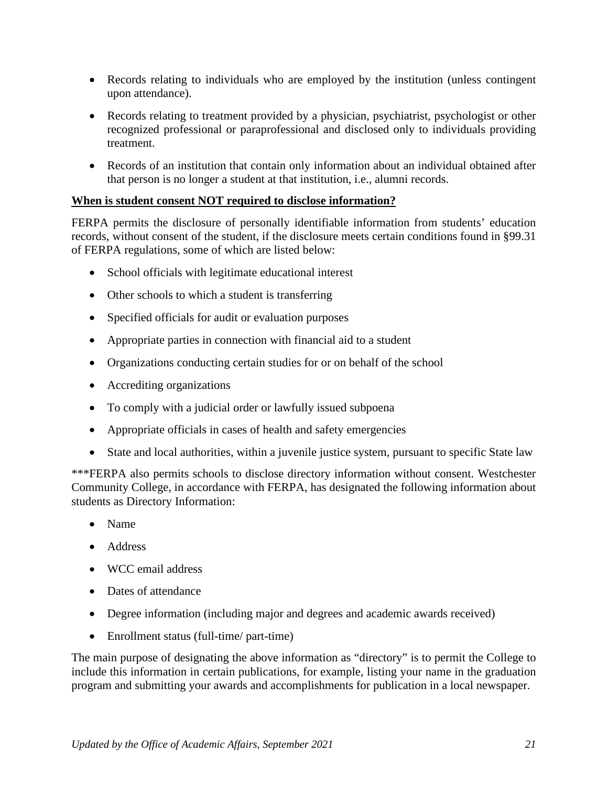- Records relating to individuals who are employed by the institution (unless contingent upon attendance).
- Records relating to treatment provided by a physician, psychiatrist, psychologist or other recognized professional or paraprofessional and disclosed only to individuals providing treatment.
- Records of an institution that contain only information about an individual obtained after that person is no longer a student at that institution, i.e., alumni records.

#### **When is student consent NOT required to disclose information?**

FERPA permits the disclosure of personally identifiable information from students' education records, without consent of the student, if the disclosure meets certain conditions found in §99.31 of FERPA regulations, some of which are listed below:

- School officials with legitimate educational interest
- Other schools to which a student is transferring
- Specified officials for audit or evaluation purposes
- Appropriate parties in connection with financial aid to a student
- Organizations conducting certain studies for or on behalf of the school
- Accrediting organizations
- To comply with a judicial order or lawfully issued subpoena
- Appropriate officials in cases of health and safety emergencies
- State and local authorities, within a juvenile justice system, pursuant to specific State law

\*\*\*FERPA also permits schools to disclose directory information without consent. Westchester Community College, in accordance with FERPA, has designated the following information about students as Directory Information:

- Name
- Address
- WCC email address
- Dates of attendance
- Degree information (including major and degrees and academic awards received)
- Enrollment status (full-time/ part-time)

The main purpose of designating the above information as "directory" is to permit the College to include this information in certain publications, for example, listing your name in the graduation program and submitting your awards and accomplishments for publication in a local newspaper.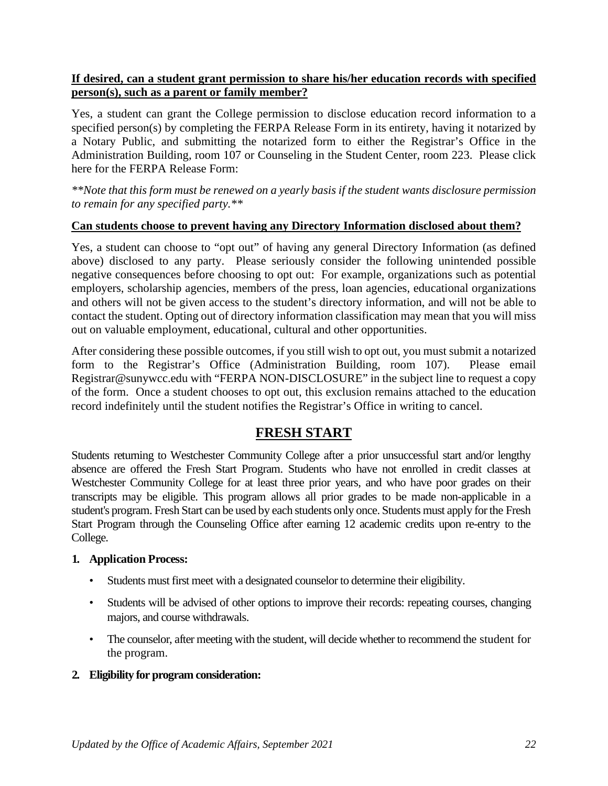### **If desired, can a student grant permission to share his/her education records with specified person(s), such as a parent or family member?**

Yes, a student can grant the College permission to disclose education record information to a specified person(s) by completing the FERPA Release Form in its entirety, having it notarized by a Notary Public, and submitting the notarized form to either the Registrar's Office in the Administration Building, room 107 or Counseling in the Student Center, room 223. Please click here for the FERPA Release Form:

*\*\*Note that this form must be renewed on a yearly basis if the student wants disclosure permission to remain for any specified party.\*\**

#### **Can students choose to prevent having any Directory Information disclosed about them?**

Yes, a student can choose to "opt out" of having any general Directory Information (as defined above) disclosed to any party. Please seriously consider the following unintended possible negative consequences before choosing to opt out: For example, organizations such as potential employers, scholarship agencies, members of the press, loan agencies, educational organizations and others will not be given access to the student's directory information, and will not be able to contact the student. Opting out of directory information classification may mean that you will miss out on valuable employment, educational, cultural and other opportunities.

After considering these possible outcomes, if you still wish to opt out, you must submit a notarized form to the Registrar's Office (Administration Building, room 107). Please email Registrar@sunywcc.edu with "FERPA NON-DISCLOSURE" in the subject line to request a copy of the form. Once a student chooses to opt out, this exclusion remains attached to the education record indefinitely until the student notifies the Registrar's Office in writing to cancel.

## **FRESH START**

<span id="page-21-0"></span>Students returning to Westchester Community College after a prior unsuccessful start and/or lengthy absence are offered the Fresh Start Program. Students who have not enrolled in credit classes at Westchester Community College for at least three prior years, and who have poor grades on their transcripts may be eligible. This program allows all prior grades to be made non-applicable in a student's program. Fresh Start can be used by each students only once. Students must apply forthe Fresh Start Program through the Counseling Office after earning 12 academic credits upon re-entry to the College.

#### **1. Application Process:**

- Students must first meet with a designated counselor to determine their eligibility.
- Students will be advised of other options to improve their records: repeating courses, changing majors, and course withdrawals.
- The counselor, after meeting with the student, will decide whether to recommend the student for the program.

#### **2. Eligibility for program consideration:**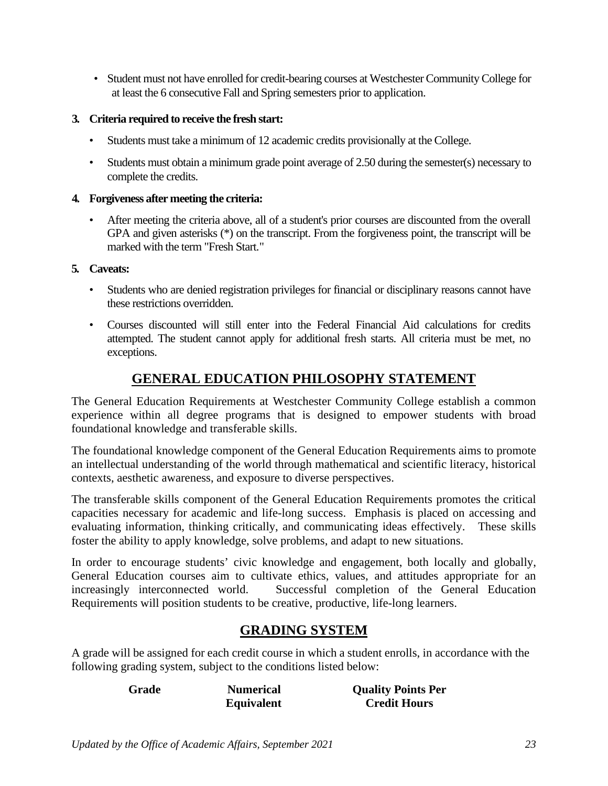• Student must not have enrolled for credit-bearing courses at Westchester Community College for at least the 6 consecutive Fall and Spring semesters prior to application.

### **3. Criteria required to receive the fresh start:**

- Students must take a minimum of 12 academic credits provisionally at the College.
- Students must obtain a minimum grade point average of 2.50 during the semester(s) necessary to complete the credits.

#### **4. Forgiveness after meeting the criteria:**

• After meeting the criteria above, all of a student's prior courses are discounted from the overall GPA and given asterisks (\*) on the transcript. From the forgiveness point, the transcript will be marked with the term "Fresh Start."

#### **5. Caveats:**

- Students who are denied registration privileges for financial or disciplinary reasons cannot have these restrictions overridden.
- Courses discounted will still enter into the Federal Financial Aid calculations for credits attempted. The student cannot apply for additional fresh starts. All criteria must be met, no exceptions.

## **GENERAL EDUCATION PHILOSOPHY STATEMENT**

<span id="page-22-0"></span>The General Education Requirements at Westchester Community College establish a common experience within all degree programs that is designed to empower students with broad foundational knowledge and transferable skills.

The foundational knowledge component of the General Education Requirements aims to promote an intellectual understanding of the world through mathematical and scientific literacy, historical contexts, aesthetic awareness, and exposure to diverse perspectives.

The transferable skills component of the General Education Requirements promotes the critical capacities necessary for academic and life-long success. Emphasis is placed on accessing and evaluating information, thinking critically, and communicating ideas effectively. These skills foster the ability to apply knowledge, solve problems, and adapt to new situations.

In order to encourage students' civic knowledge and engagement, both locally and globally, General Education courses aim to cultivate ethics, values, and attitudes appropriate for an increasingly interconnected world. Successful completion of the General Education Requirements will position students to be creative, productive, life-long learners.

## **GRADING SYSTEM**

<span id="page-22-1"></span>A grade will be assigned for each credit course in which a student enrolls, in accordance with the following grading system, subject to the conditions listed below:

| Grade | <b>Numerical</b>  | <b>Quality Points Per</b> |
|-------|-------------------|---------------------------|
|       | <b>Equivalent</b> | <b>Credit Hours</b>       |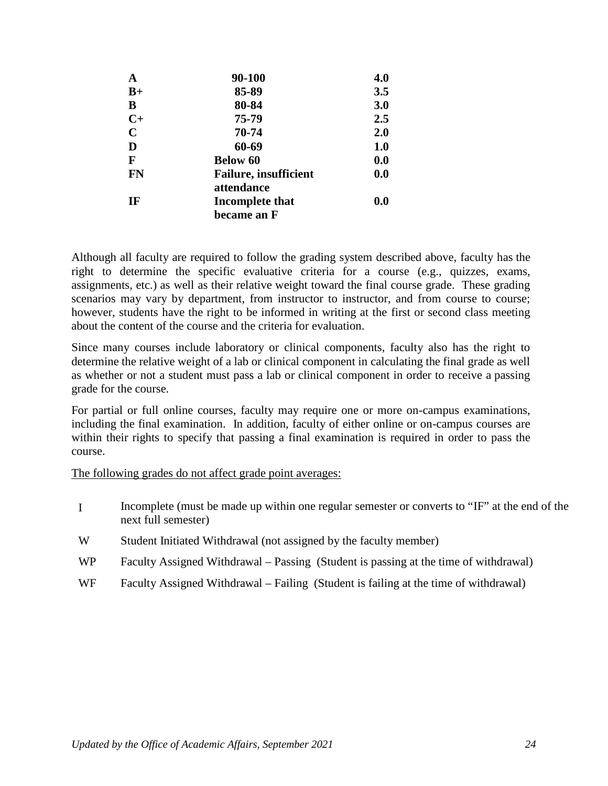| $\mathbf A$  | 90-100                       | 4.0 |
|--------------|------------------------------|-----|
| $B+$         | 85-89                        | 3.5 |
| B            | 80-84                        | 3.0 |
| $C+$         | 75-79                        | 2.5 |
| $\mathbf C$  | 70-74                        | 2.0 |
| D            | 60-69                        | 1.0 |
| $\mathbf{F}$ | <b>Below 60</b>              | 0.0 |
| <b>FN</b>    | <b>Failure, insufficient</b> | 0.0 |
|              | attendance                   |     |
| IF           | <b>Incomplete that</b>       | 0.0 |
|              | became an F                  |     |

Although all faculty are required to follow the grading system described above, faculty has the right to determine the specific evaluative criteria for a course (e.g., quizzes, exams, assignments, etc.) as well as their relative weight toward the final course grade. These grading scenarios may vary by department, from instructor to instructor, and from course to course; however, students have the right to be informed in writing at the first or second class meeting about the content of the course and the criteria for evaluation.

Since many courses include laboratory or clinical components, faculty also has the right to determine the relative weight of a lab or clinical component in calculating the final grade as well as whether or not a student must pass a lab or clinical component in order to receive a passing grade for the course.

For partial or full online courses, faculty may require one or more on-campus examinations, including the final examination. In addition, faculty of either online or on-campus courses are within their rights to specify that passing a final examination is required in order to pass the course.

The following grades do not affect grade point averages:

- I Incomplete (must be made up within one regular semester or converts to "IF" at the end of the next full semester)
- W Student Initiated Withdrawal (not assigned by the faculty member)
- WP Faculty Assigned Withdrawal Passing (Student is passing at the time of withdrawal)
- WF Faculty Assigned Withdrawal Failing (Student is failing at the time of withdrawal)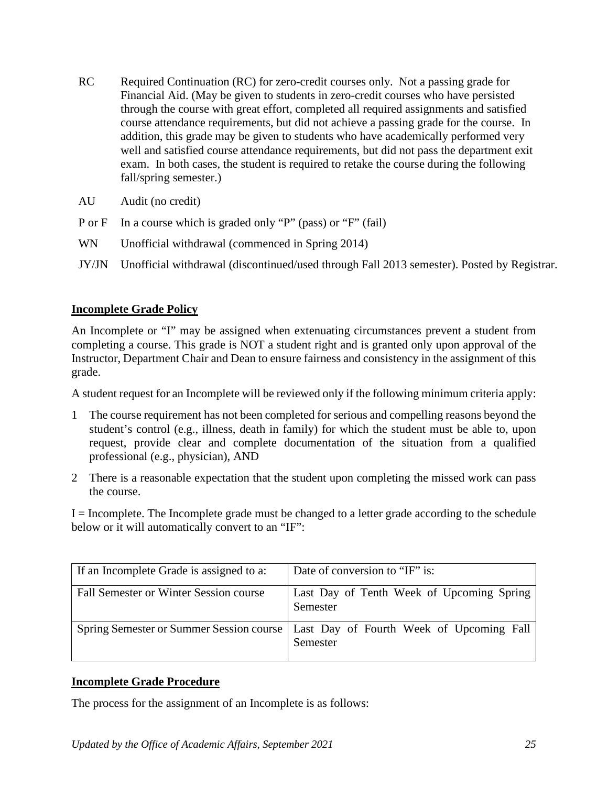- RC Required Continuation (RC) for zero-credit courses only. Not a passing grade for Financial Aid. (May be given to students in zero-credit courses who have persisted through the course with great effort, completed all required assignments and satisfied course attendance requirements, but did not achieve a passing grade for the course. In addition, this grade may be given to students who have academically performed very well and satisfied course attendance requirements, but did not pass the department exit exam. In both cases, the student is required to retake the course during the following fall/spring semester.)
- AU Audit (no credit)
- P or F In a course which is graded only "P" (pass) or "F" (fail)
- WN Unofficial withdrawal (commenced in Spring 2014)
- JY/JN Unofficial withdrawal (discontinued/used through Fall 2013 semester). Posted by Registrar.

#### **Incomplete Grade Policy**

An Incomplete or "I" may be assigned when extenuating circumstances prevent a student from completing a course. This grade is NOT a student right and is granted only upon approval of the Instructor, Department Chair and Dean to ensure fairness and consistency in the assignment of this grade.

A student request for an Incomplete will be reviewed only if the following minimum criteria apply:

- 1 The course requirement has not been completed for serious and compelling reasons beyond the student's control (e.g., illness, death in family) for which the student must be able to, upon request, provide clear and complete documentation of the situation from a qualified professional (e.g., physician), AND
- 2 There is a reasonable expectation that the student upon completing the missed work can pass the course.

I = Incomplete. The Incomplete grade must be changed to a letter grade according to the schedule below or it will automatically convert to an "IF":

| If an Incomplete Grade is assigned to a: | Date of conversion to "IF" is:                                                                  |
|------------------------------------------|-------------------------------------------------------------------------------------------------|
| Fall Semester or Winter Session course   | Last Day of Tenth Week of Upcoming Spring<br>Semester                                           |
|                                          | Spring Semester or Summer Session course   Last Day of Fourth Week of Upcoming Fall<br>Semester |

#### **Incomplete Grade Procedure**

The process for the assignment of an Incomplete is as follows: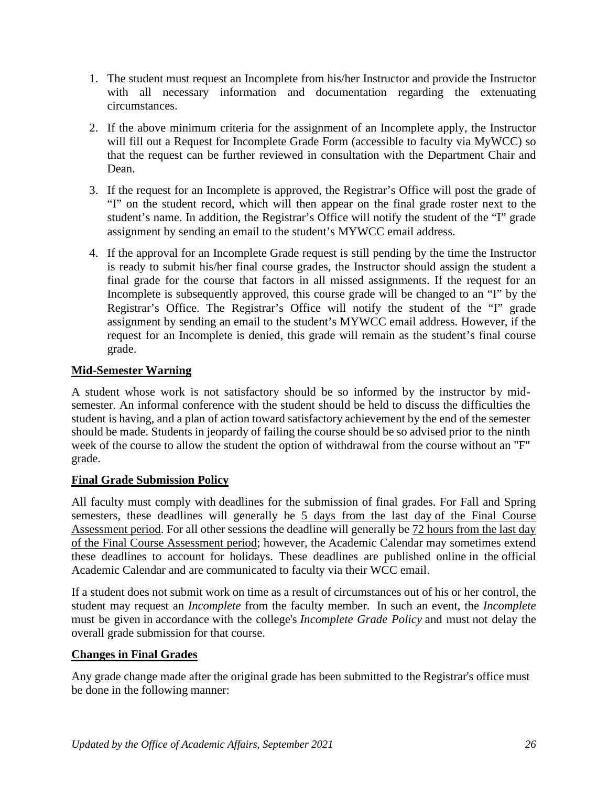- 1. The student must request an Incomplete from his/her Instructor and provide the Instructor with all necessary information and documentation regarding the extenuating circumstances.
- 2. If the above minimum criteria for the assignment of an Incomplete apply, the Instructor will fill out a Request for Incomplete Grade Form (accessible to faculty via MyWCC) so that the request can be further reviewed in consultation with the Department Chair and Dean.
- 3. If the request for an Incomplete is approved, the Registrar's Office will post the grade of "I" on the student record, which will then appear on the final grade roster next to the student's name. In addition, the Registrar's Office will notify the student of the "I" grade assignment by sending an email to the student's MYWCC email address.
- 4. If the approval for an Incomplete Grade request is still pending by the time the Instructor is ready to submit his/her final course grades, the Instructor should assign the student a final grade for the course that factors in all missed assignments. If the request for an Incomplete is subsequently approved, this course grade will be changed to an "I" by the Registrar's Office. The Registrar's Office will notify the student of the "I" grade assignment by sending an email to the student's MYWCC email address. However, if the request for an Incomplete is denied, this grade will remain as the student's final course grade.

## **Mid-Semester Warning**

A student whose work is not satisfactory should be so informed by the instructor by midsemester. An informal conference with the student should be held to discuss the difficulties the student is having, and a plan of action toward satisfactory achievement by the end of the semester should be made. Students in jeopardy of failing the course should be so advised prior to the ninth week of the course to allow the student the option of withdrawal from the course without an "F" grade.

### **Final Grade Submission Policy**

All faculty must comply with deadlines for the submission of final grades. For Fall and Spring semesters, these deadlines will generally be 5 days from the last day of the Final Course Assessment period. For all other sessions the deadline will generally be 72 hours from the last day of the Final Course Assessment period; however, the Academic Calendar may sometimes extend these deadlines to account for holidays. These deadlines are published online in the official Academic Calendar and are communicated to faculty via their WCC email.

If a student does not submit work on time as a result of circumstances out of his or her control, the student may request an *Incomplete* from the faculty member. In such an event, the *Incomplete* must be given in accordance with the college's *Incomplete Grade Policy* and must not delay the overall grade submission for that course.

### **Changes in Final Grades**

Any grade change made after the original grade has been submitted to the Registrar's office must be done in the following manner: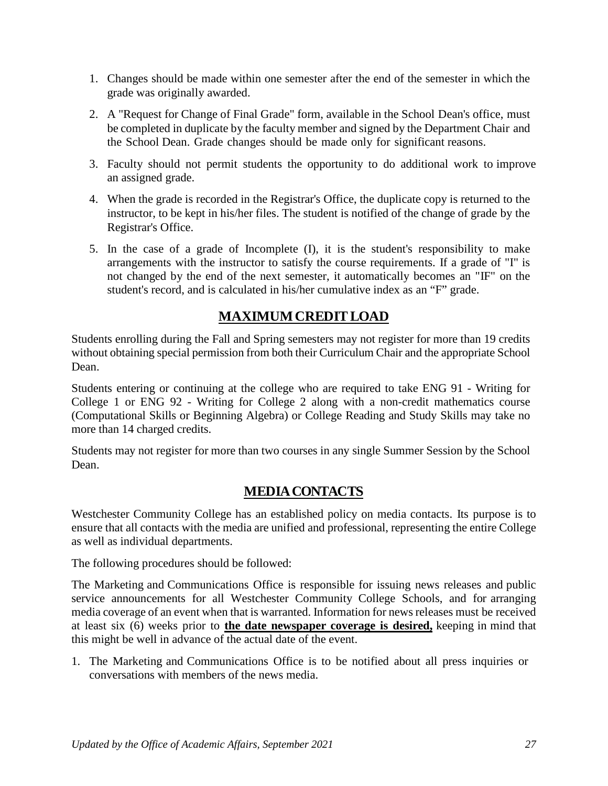- 1. Changes should be made within one semester after the end of the semester in which the grade was originally awarded.
- 2. A "Request for Change of Final Grade" form, available in the School Dean's office, must be completed in duplicate by the faculty member and signed by the Department Chair and the School Dean. Grade changes should be made only for significant reasons.
- 3. Faculty should not permit students the opportunity to do additional work to improve an assigned grade.
- 4. When the grade is recorded in the Registrar's Office, the duplicate copy is returned to the instructor, to be kept in his/her files. The student is notified of the change of grade by the Registrar's Office.
- 5. In the case of a grade of Incomplete (I), it is the student's responsibility to make arrangements with the instructor to satisfy the course requirements. If a grade of "I" is not changed by the end of the next semester, it automatically becomes an "IF" on the student's record, and is calculated in his/her cumulative index as an "F" grade.

## **MAXIMUMCREDITLOAD**

<span id="page-26-0"></span>Students enrolling during the Fall and Spring semesters may not register for more than 19 credits without obtaining special permission from both their Curriculum Chair and the appropriate School Dean.

Students entering or continuing at the college who are required to take ENG 91 - Writing for College 1 or ENG 92 - Writing for College 2 along with a non-credit mathematics course (Computational Skills or Beginning Algebra) or College Reading and Study Skills may take no more than 14 charged credits.

Students may not register for more than two courses in any single Summer Session by the School Dean.

## **MEDIACONTACTS**

<span id="page-26-1"></span>Westchester Community College has an established policy on media contacts. Its purpose is to ensure that all contacts with the media are unified and professional, representing the entire College as well as individual departments.

The following procedures should be followed:

The Marketing and Communications Office is responsible for issuing news releases and public service announcements for all Westchester Community College Schools, and for arranging media coverage of an event when that is warranted. Information for news releases must be received at least six (6) weeks prior to **the date newspaper coverage is desired,** keeping in mind that this might be well in advance of the actual date of the event.

1. The Marketing and Communications Office is to be notified about all press inquiries or conversations with members of the news media.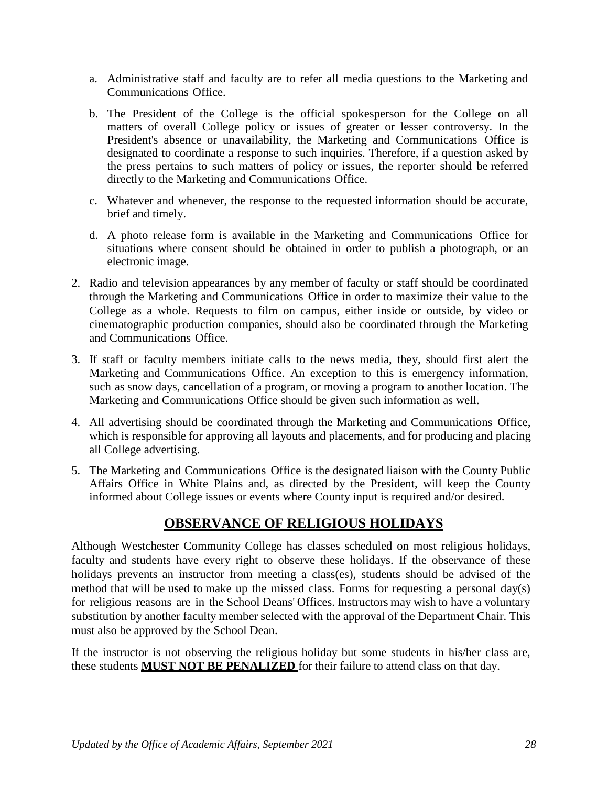- a. Administrative staff and faculty are to refer all media questions to the Marketing and Communications Office.
- b. The President of the College is the official spokesperson for the College on all matters of overall College policy or issues of greater or lesser controversy. In the President's absence or unavailability, the Marketing and Communications Office is designated to coordinate a response to such inquiries. Therefore, if a question asked by the press pertains to such matters of policy or issues, the reporter should be referred directly to the Marketing and Communications Office.
- c. Whatever and whenever, the response to the requested information should be accurate, brief and timely.
- d. A photo release form is available in the Marketing and Communications Office for situations where consent should be obtained in order to publish a photograph, or an electronic image.
- 2. Radio and television appearances by any member of faculty or staff should be coordinated through the Marketing and Communications Office in order to maximize their value to the College as a whole. Requests to film on campus, either inside or outside, by video or cinematographic production companies, should also be coordinated through the Marketing and Communications Office.
- 3. If staff or faculty members initiate calls to the news media, they, should first alert the Marketing and Communications Office. An exception to this is emergency information, such as snow days, cancellation of a program, or moving a program to another location. The Marketing and Communications Office should be given such information as well.
- 4. All advertising should be coordinated through the Marketing and Communications Office, which is responsible for approving all layouts and placements, and for producing and placing all College advertising.
- 5. The Marketing and Communications Office is the designated liaison with the County Public Affairs Office in White Plains and, as directed by the President, will keep the County informed about College issues or events where County input is required and/or desired.

## **OBSERVANCE OF RELIGIOUS HOLIDAYS**

<span id="page-27-0"></span>Although Westchester Community College has classes scheduled on most religious holidays, faculty and students have every right to observe these holidays. If the observance of these holidays prevents an instructor from meeting a class(es), students should be advised of the method that will be used to make up the missed class. Forms for requesting a personal day(s) for religious reasons are in the School Deans' Offices. Instructors may wish to have a voluntary substitution by another faculty member selected with the approval of the Department Chair. This must also be approved by the School Dean.

If the instructor is not observing the religious holiday but some students in his/her class are, these students **MUST NOT BE PENALIZED** for their failure to attend class on that day.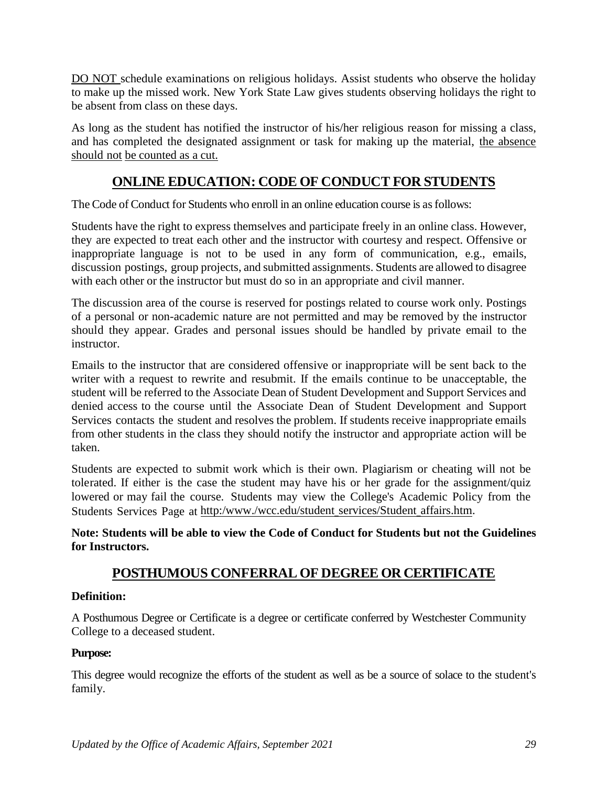DO NOT schedule examinations on religious holidays. Assist students who observe the holiday to make up the missed work. New York State Law gives students observing holidays the right to be absent from class on these days.

As long as the student has notified the instructor of his/her religious reason for missing a class, and has completed the designated assignment or task for making up the material, the absence should not be counted as a cut.

## **ONLINE EDUCATION: CODE OF CONDUCT FOR STUDENTS**

<span id="page-28-0"></span>The Code of Conduct for Students who enroll in an online education course is asfollows:

Students have the right to express themselves and participate freely in an online class. However, they are expected to treat each other and the instructor with courtesy and respect. Offensive or inappropriate language is not to be used in any form of communication, e.g., emails, discussion postings, group projects, and submitted assignments. Students are allowed to disagree with each other or the instructor but must do so in an appropriate and civil manner.

The discussion area of the course is reserved for postings related to course work only. Postings of a personal or non-academic nature are not permitted and may be removed by the instructor should they appear. Grades and personal issues should be handled by private email to the instructor.

Emails to the instructor that are considered offensive or inappropriate will be sent back to the writer with a request to rewrite and resubmit. If the emails continue to be unacceptable, the student will be referred to the Associate Dean of Student Development and Support Services and denied access to the course until the Associate Dean of Student Development and Support Services contacts the student and resolves the problem. If students receive inappropriate emails from other students in the class they should notify the instructor and appropriate action will be taken.

Students are expected to submit work which is their own. Plagiarism or cheating will not be tolerated. If either is the case the student may have his or her grade for the assignment/quiz lowered or may fail the course. Students may view the College's Academic Policy from the Students Services Page at http:/www./wcc.edu/student\_services/Student\_affairs.htm.

**Note: Students will be able to view the Code of Conduct for Students but not the Guidelines for Instructors.**

## **POSTHUMOUS CONFERRAL OF DEGREE OR CERTIFICATE**

### <span id="page-28-1"></span>**Definition:**

A Posthumous Degree or Certificate is a degree or certificate conferred by Westchester Community College to a deceased student.

### **Purpose:**

This degree would recognize the efforts of the student as well as be a source of solace to the student's family.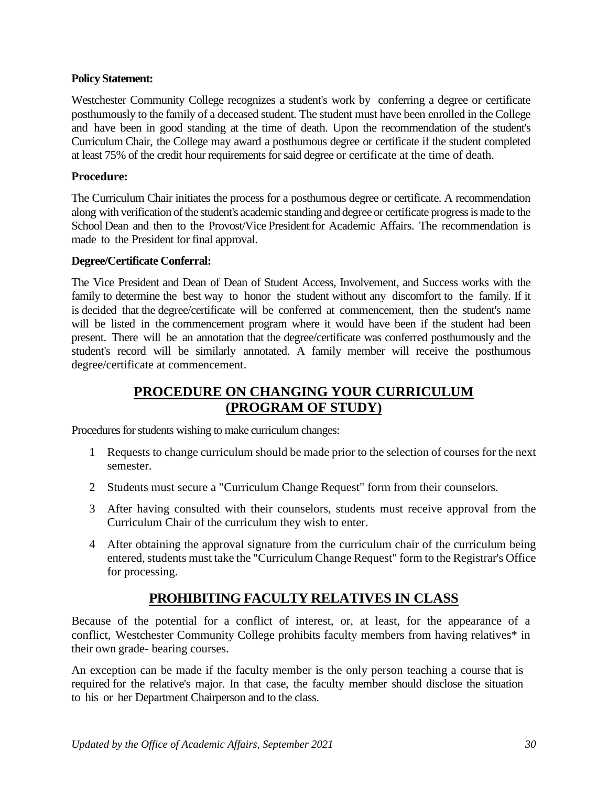#### **Policy Statement:**

Westchester Community College recognizes a student's work by conferring a degree or certificate posthumously to the family of a deceased student. The student must have been enrolled in the College and have been in good standing at the time of death. Upon the recommendation of the student's Curriculum Chair, the College may award a posthumous degree or certificate if the student completed at least 75% of the credit hour requirements for said degree or certificate at the time of death.

#### **Procedure:**

The Curriculum Chair initiates the process for a posthumous degree or certificate. A recommendation along with verification of the student's academic standing and degree or certificate progress is made to the School Dean and then to the Provost/Vice President for Academic Affairs. The recommendation is made to the President for final approval.

#### **Degree/Certificate Conferral:**

The Vice President and Dean of Dean of Student Access, Involvement, and Success works with the family to determine the best way to honor the student without any discomfort to the family. If it is decided that the degree/certificate will be conferred at commencement, then the student's name will be listed in the commencement program where it would have been if the student had been present. There will be an annotation that the degree/certificate was conferred posthumously and the student's record will be similarly annotated. A family member will receive the posthumous degree/certificate at commencement.

## **PROCEDURE ON CHANGING YOUR CURRICULUM (PROGRAM OF STUDY)**

<span id="page-29-0"></span>Procedures for students wishing to make curriculum changes:

- 1 Requests to change curriculum should be made prior to the selection of courses for the next semester.
- 2 Students must secure a "Curriculum Change Request" form from their counselors.
- 3 After having consulted with their counselors, students must receive approval from the Curriculum Chair of the curriculum they wish to enter.
- 4 After obtaining the approval signature from the curriculum chair of the curriculum being entered, students must take the "Curriculum Change Request" form to the Registrar's Office for processing.

## **PROHIBITING FACULTY RELATIVES IN CLASS**

<span id="page-29-1"></span>Because of the potential for a conflict of interest, or, at least, for the appearance of a conflict, Westchester Community College prohibits faculty members from having relatives\* in their own grade- bearing courses.

An exception can be made if the faculty member is the only person teaching a course that is required for the relative's major. In that case, the faculty member should disclose the situation to his or her Department Chairperson and to the class.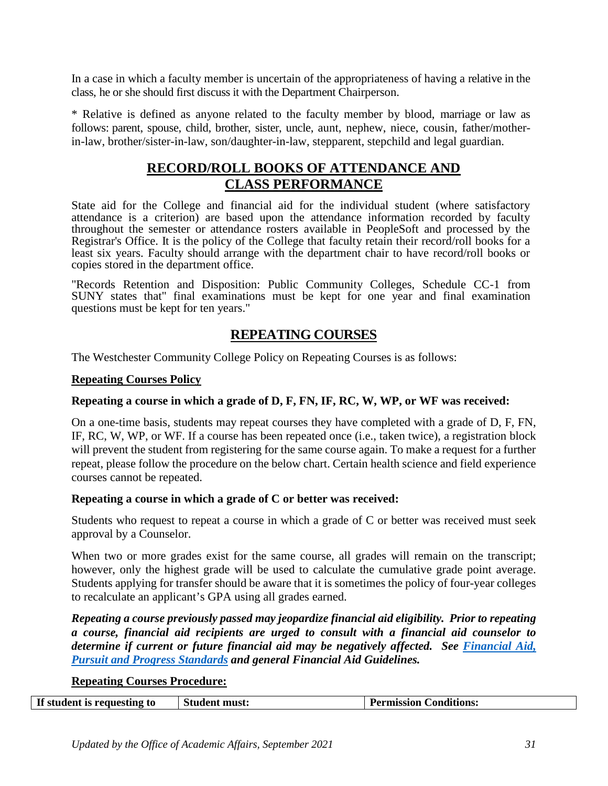In a case in which a faculty member is uncertain of the appropriateness of having a relative in the class, he or she should first discuss it with the Department Chairperson.

\* Relative is defined as anyone related to the faculty member by blood, marriage or law as follows: parent, spouse, child, brother, sister, uncle, aunt, nephew, niece, cousin, father/motherin-law, brother/sister-in-law, son/daughter-in-law, stepparent, stepchild and legal guardian.

# **RECORD/ROLL BOOKS OF ATTENDANCE AND CLASS PERFORMANCE**

<span id="page-30-0"></span>State aid for the College and financial aid for the individual student (where satisfactory attendance is a criterion) are based upon the attendance information recorded by faculty throughout the semester or attendance rosters available in PeopleSoft and processed by the Registrar's Office. It is the policy of the College that faculty retain their record/roll books for a least six years. Faculty should arrange with the department chair to have record/roll books or copies stored in the department office.

"Records Retention and Disposition: Public Community Colleges, Schedule CC-1 from SUNY states that" final examinations must be kept for one year and final examination questions must be kept for ten years."

## **REPEATING COURSES**

<span id="page-30-1"></span>The Westchester Community College Policy on Repeating Courses is as follows:

#### **Repeating Courses Policy**

#### **Repeating a course in which a grade of D, F, FN, IF, RC, W, WP, or WF was received:**

On a one-time basis, students may repeat courses they have completed with a grade of D, F, FN, IF, RC, W, WP, or WF. If a course has been repeated once (i.e., taken twice), a registration block will prevent the student from registering for the same course again. To make a request for a further repeat, please follow the procedure on the below chart. Certain health science and field experience courses cannot be repeated.

#### **Repeating a course in which a grade of C or better was received:**

Students who request to repeat a course in which a grade of C or better was received must seek approval by a Counselor.

When two or more grades exist for the same course, all grades will remain on the transcript; however, only the highest grade will be used to calculate the cumulative grade point average. Students applying for transfer should be aware that it is sometimes the policy of four-year colleges to recalculate an applicant's GPA using all grades earned.

*Repeating a course previously passed may jeopardize financial aid eligibility. Prior to repeating a course, financial aid recipients are urged to consult with a financial aid counselor to determine if current or future financial aid may be negatively affected. See [Financial Aid,](http://www.sunywcc.edu/student-services/finaid/satisfactory-academic-progress/)  [Pursuit and Progress Standards](http://www.sunywcc.edu/student-services/finaid/satisfactory-academic-progress/) and general Financial Aid Guidelines.* 

#### **Repeating Courses Procedure:**

| If student is requesting to<br><b>Student must:</b><br><b>Permission Conditions:</b> |
|--------------------------------------------------------------------------------------|
|--------------------------------------------------------------------------------------|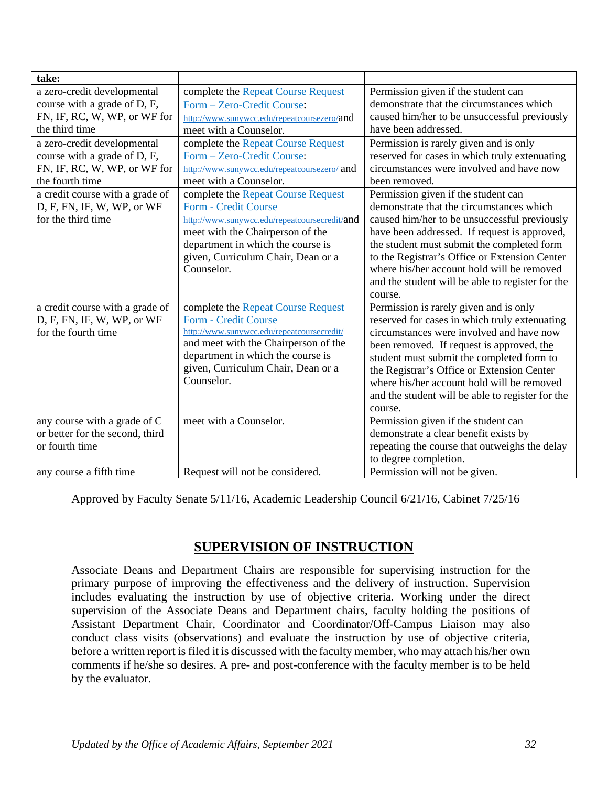| take:                           |                                                  |                                                  |
|---------------------------------|--------------------------------------------------|--------------------------------------------------|
| a zero-credit developmental     | complete the Repeat Course Request               | Permission given if the student can              |
| course with a grade of D, F,    | Form - Zero-Credit Course:                       | demonstrate that the circumstances which         |
| FN, IF, RC, W, WP, or WF for    | http://www.sunywcc.edu/repeatcoursezero/and      | caused him/her to be unsuccessful previously     |
| the third time                  | meet with a Counselor.                           | have been addressed.                             |
| a zero-credit developmental     | complete the Repeat Course Request               | Permission is rarely given and is only           |
| course with a grade of D, F,    | Form - Zero-Credit Course:                       | reserved for cases in which truly extenuating    |
| FN, IF, RC, W, WP, or WF for    | http://www.sunywcc.edu/repeatcoursezero/ and     | circumstances were involved and have now         |
| the fourth time                 | meet with a Counselor.                           | been removed.                                    |
| a credit course with a grade of | complete the Repeat Course Request               | Permission given if the student can              |
| D, F, FN, IF, W, WP, or WF      | Form - Credit Course                             | demonstrate that the circumstances which         |
| for the third time              | http://www.sunywcc.edu/repeatcoursecredit/and    | caused him/her to be unsuccessful previously     |
|                                 | meet with the Chairperson of the                 | have been addressed. If request is approved,     |
|                                 | department in which the course is                | the student must submit the completed form       |
|                                 | given, Curriculum Chair, Dean or a               | to the Registrar's Office or Extension Center    |
|                                 | Counselor.                                       | where his/her account hold will be removed       |
|                                 |                                                  | and the student will be able to register for the |
|                                 |                                                  | course.                                          |
| a credit course with a grade of | complete the Repeat Course Request               | Permission is rarely given and is only           |
| D, F, FN, IF, W, WP, or WF      | Form - Credit Course                             | reserved for cases in which truly extenuating    |
| for the fourth time             | http://www.sunywcc.edu/repeatcoursecredit/       | circumstances were involved and have now         |
|                                 | and meet with the Chairperson of the             | been removed. If request is approved, the        |
|                                 | department in which the course is                | student must submit the completed form to        |
|                                 | given, Curriculum Chair, Dean or a<br>Counselor. | the Registrar's Office or Extension Center       |
|                                 |                                                  | where his/her account hold will be removed       |
|                                 |                                                  | and the student will be able to register for the |
|                                 |                                                  | course.                                          |
| any course with a grade of C    | meet with a Counselor.                           | Permission given if the student can              |
| or better for the second, third |                                                  | demonstrate a clear benefit exists by            |
| or fourth time                  |                                                  | repeating the course that outweighs the delay    |
|                                 |                                                  | to degree completion.                            |
| any course a fifth time         | Request will not be considered.                  | Permission will not be given.                    |

Approved by Faculty Senate 5/11/16, Academic Leadership Council 6/21/16, Cabinet 7/25/16

## **SUPERVISION OF INSTRUCTION**

<span id="page-31-0"></span>Associate Deans and Department Chairs are responsible for supervising instruction for the primary purpose of improving the effectiveness and the delivery of instruction. Supervision includes evaluating the instruction by use of objective criteria. Working under the direct supervision of the Associate Deans and Department chairs, faculty holding the positions of Assistant Department Chair, Coordinator and Coordinator/Off-Campus Liaison may also conduct class visits (observations) and evaluate the instruction by use of objective criteria, before a written report is filed it is discussed with the faculty member, who may attach his/her own comments if he/she so desires. A pre- and post-conference with the faculty member is to be held by the evaluator.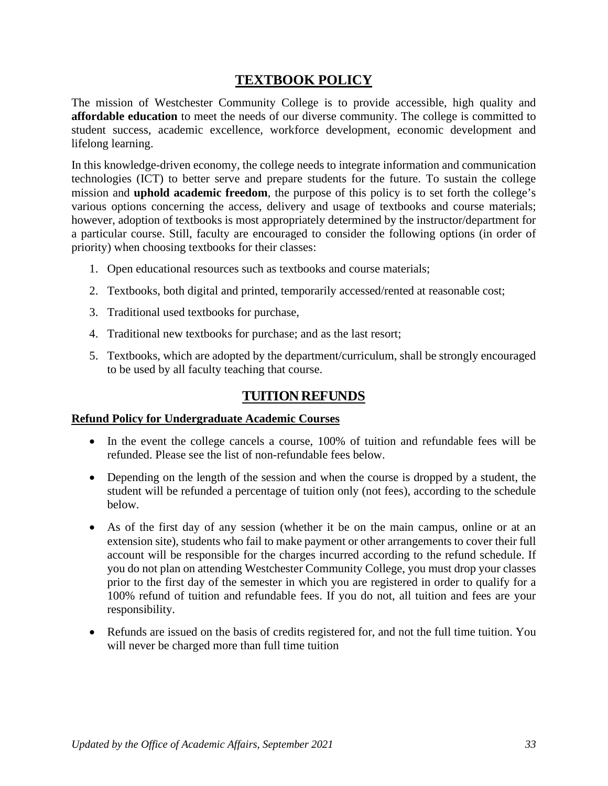## **TEXTBOOK POLICY**

<span id="page-32-0"></span>The mission of Westchester Community College is to provide accessible, high quality and **affordable education** to meet the needs of our diverse community. The college is committed to student success, academic excellence, workforce development, economic development and lifelong learning.

In this knowledge-driven economy, the college needs to integrate information and communication technologies (ICT) to better serve and prepare students for the future. To sustain the college mission and **uphold academic freedom**, the purpose of this policy is to set forth the college's various options concerning the access, delivery and usage of textbooks and course materials; however, adoption of textbooks is most appropriately determined by the instructor/department for a particular course. Still, faculty are encouraged to consider the following options (in order of priority) when choosing textbooks for their classes:

- 1. Open educational resources such as textbooks and course materials;
- 2. Textbooks, both digital and printed, temporarily accessed/rented at reasonable cost;
- 3. Traditional used textbooks for purchase,
- 4. Traditional new textbooks for purchase; and as the last resort;
- 5. Textbooks, which are adopted by the department/curriculum, shall be strongly encouraged to be used by all faculty teaching that course.

### **TUITION REFUNDS**

#### <span id="page-32-1"></span>**Refund Policy for Undergraduate Academic Courses**

- In the event the college cancels a course, 100% of tuition and refundable fees will be refunded. Please see the list of non-refundable fees below.
- Depending on the length of the session and when the course is dropped by a student, the student will be refunded a percentage of tuition only (not fees), according to the schedule below.
- As of the first day of any session (whether it be on the main campus, online or at an extension site), students who fail to make payment or other arrangements to cover their full account will be responsible for the charges incurred according to the refund schedule. If you do not plan on attending Westchester Community College, you must drop your classes prior to the first day of the semester in which you are registered in order to qualify for a 100% refund of tuition and refundable fees. If you do not, all tuition and fees are your responsibility.
- Refunds are issued on the basis of credits registered for, and not the full time tuition. You will never be charged more than full time tuition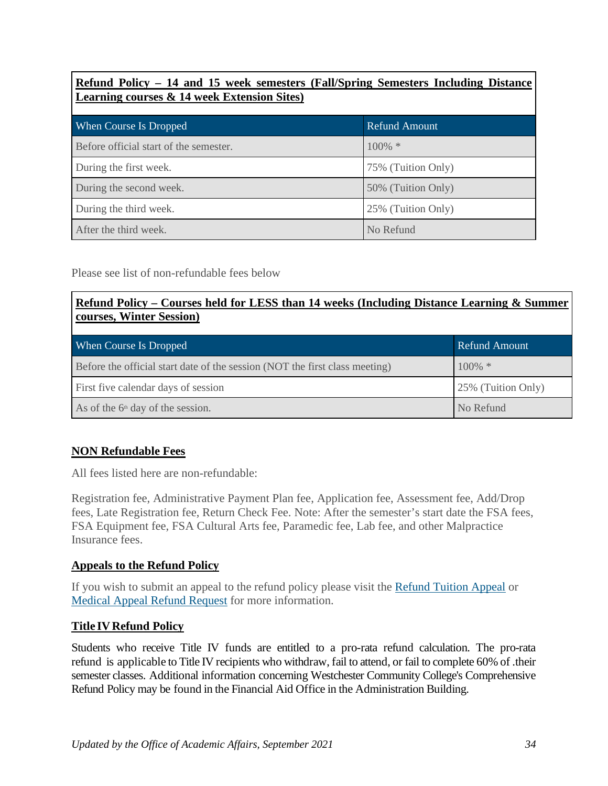## **Refund Policy – 14 and 15 week semesters (Fall/Spring Semesters Including Distance Learning courses & 14 week Extension Sites)**

| When Course Is Dropped                 | <b>Refund Amount</b> |
|----------------------------------------|----------------------|
| Before official start of the semester. | $100\%$ *            |
| During the first week.                 | 75% (Tuition Only)   |
| During the second week.                | 50% (Tuition Only)   |
| During the third week.                 | 25% (Tuition Only)   |
| After the third week.                  | No Refund            |

Please see list of non-refundable fees below

### **Refund Policy – Courses held for LESS than 14 weeks (Including Distance Learning & Summer courses, Winter Session)**

| When Course Is Dropped                                                      | <b>Refund Amount</b> |
|-----------------------------------------------------------------------------|----------------------|
| Before the official start date of the session (NOT the first class meeting) | $100\%$ *            |
| First five calendar days of session                                         | 25% (Tuition Only)   |
| As of the $6th$ day of the session.                                         | No Refund            |

### **NON Refundable Fees**

All fees listed here are non-refundable:

Registration fee, Administrative Payment Plan fee, Application fee, Assessment fee, Add/Drop fees, Late Registration fee, Return Check Fee. Note: After the semester's start date the FSA fees, FSA Equipment fee, FSA Cultural Arts fee, Paramedic fee, Lab fee, and other Malpractice Insurance fees.

#### **Appeals to the Refund Policy**

If you wish to submit an appeal to the refund policy please visit the [Refund Tuition Appeal](http://www.sunywcc.edu/admissions/bursars-office/refundappeal/) or [Medical Appeal Refund Request](http://www.sunywcc.edu/admissions/bursars-office/medical-refund-appeal/) for more information.

#### **Title IV Refund Policy**

Students who receive Title IV funds are entitled to a pro-rata refund calculation. The pro-rata refund is applicable to Title IV recipients who withdraw, fail to attend, or fail to complete 60% of .their semester classes. Additional information concerning Westchester Community College's Comprehensive Refund Policy may be found in the Financial Aid Office in the Administration Building.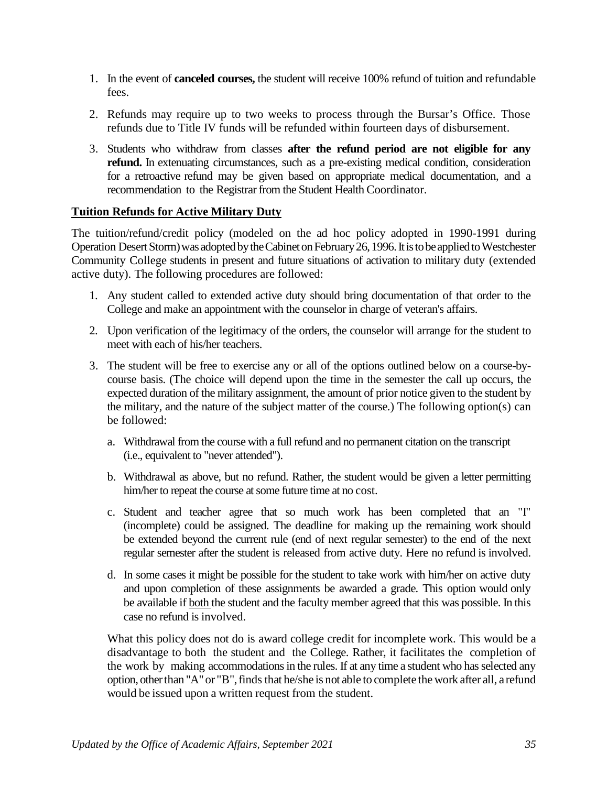- 1. In the event of **canceled courses,** the student will receive 100% refund of tuition and refundable fees.
- 2. Refunds may require up to two weeks to process through the Bursar's Office. Those refunds due to Title IV funds will be refunded within fourteen days of disbursement.
- 3. Students who withdraw from classes **after the refund period are not eligible for any refund.** In extenuating circumstances, such as a pre-existing medical condition, consideration for a retroactive refund may be given based on appropriate medical documentation, and a recommendation to the Registrar from the Student Health Coordinator.

#### **Tuition Refunds for Active Military Duty**

The tuition/refund/credit policy (modeled on the ad hoc policy adopted in 1990-1991 during Operation Desert Storm) was adopted by the Cabinet on February 26, 1996. It is to be applied to Westchester Community College students in present and future situations of activation to military duty (extended active duty). The following procedures are followed:

- 1. Any student called to extended active duty should bring documentation of that order to the College and make an appointment with the counselor in charge of veteran's affairs.
- 2. Upon verification of the legitimacy of the orders, the counselor will arrange for the student to meet with each of his/her teachers.
- 3. The student will be free to exercise any or all of the options outlined below on a course-bycourse basis. (The choice will depend upon the time in the semester the call up occurs, the expected duration of the military assignment, the amount of prior notice given to the student by the military, and the nature of the subject matter of the course.) The following option(s) can be followed:
	- a. Withdrawal from the course with a full refund and no permanent citation on the transcript (i.e., equivalent to "never attended").
	- b. Withdrawal as above, but no refund. Rather, the student would be given a letter permitting him/her to repeat the course at some future time at no cost.
	- c. Student and teacher agree that so much work has been completed that an "I" (incomplete) could be assigned. The deadline for making up the remaining work should be extended beyond the current rule (end of next regular semester) to the end of the next regular semester after the student is released from active duty. Here no refund is involved.
	- d. In some cases it might be possible for the student to take work with him/her on active duty and upon completion of these assignments be awarded a grade. This option would only be available if both the student and the faculty member agreed that this was possible. In this case no refund is involved.

What this policy does not do is award college credit for incomplete work. This would be a disadvantage to both the student and the College. Rather, it facilitates the completion of the work by making accommodations in the rules. If at any time a student who has selected any option, other than "A" or "B", finds that he/she is not able to complete the work after all, a refund would be issued upon a written request from the student.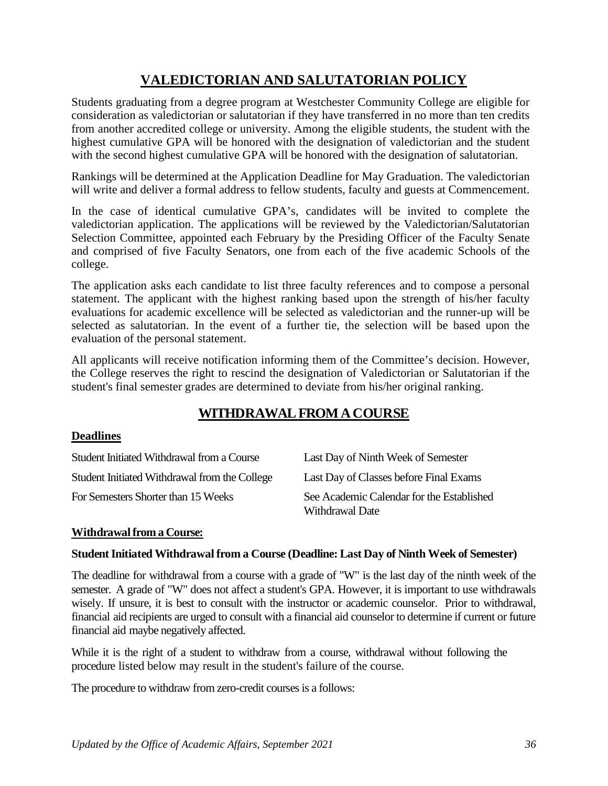# **VALEDICTORIAN AND SALUTATORIAN POLICY**

<span id="page-35-0"></span>Students graduating from a degree program at Westchester Community College are eligible for consideration as valedictorian or salutatorian if they have transferred in no more than ten credits from another accredited college or university. Among the eligible students, the student with the highest cumulative GPA will be honored with the designation of valedictorian and the student with the second highest cumulative GPA will be honored with the designation of salutatorian.

Rankings will be determined at the Application Deadline for May Graduation. The valedictorian will write and deliver a formal address to fellow students, faculty and guests at Commencement.

In the case of identical cumulative GPA's, candidates will be invited to complete the valedictorian application. The applications will be reviewed by the Valedictorian/Salutatorian Selection Committee, appointed each February by the Presiding Officer of the Faculty Senate and comprised of five Faculty Senators, one from each of the five academic Schools of the college.

The application asks each candidate to list three faculty references and to compose a personal statement. The applicant with the highest ranking based upon the strength of his/her faculty evaluations for academic excellence will be selected as valedictorian and the runner-up will be selected as salutatorian. In the event of a further tie, the selection will be based upon the evaluation of the personal statement.

All applicants will receive notification informing them of the Committee's decision. However, the College reserves the right to rescind the designation of Valedictorian or Salutatorian if the student's final semester grades are determined to deviate from his/her original ranking.

# **WITHDRAWALFROMACOURSE**

### <span id="page-35-1"></span>**Deadlines**

| Student Initiated Withdrawal from a Course    | Last Day of Ninth Week of Semester                           |
|-----------------------------------------------|--------------------------------------------------------------|
| Student Initiated Withdrawal from the College | Last Day of Classes before Final Exams                       |
| For Semesters Shorter than 15 Weeks           | See Academic Calendar for the Established<br>Withdrawal Date |

### **Withdrawalfrom a Course:**

#### **StudentInitiated Withdrawal from a Course (Deadline: Last Day of Ninth Week of Semester)**

The deadline for withdrawal from a course with a grade of "W" is the last day of the ninth week of the semester. A grade of "W" does not affect a student's GPA. However, it is important to use withdrawals wisely. If unsure, it is best to consult with the instructor or academic counselor. Prior to withdrawal, financial aid recipients are urged to consult with a financial aid counselor to determine if current or future financial aid maybe negatively affected.

While it is the right of a student to withdraw from a course, withdrawal without following the procedure listed below may result in the student's failure of the course.

The procedure to withdraw from zero-credit courses is a follows: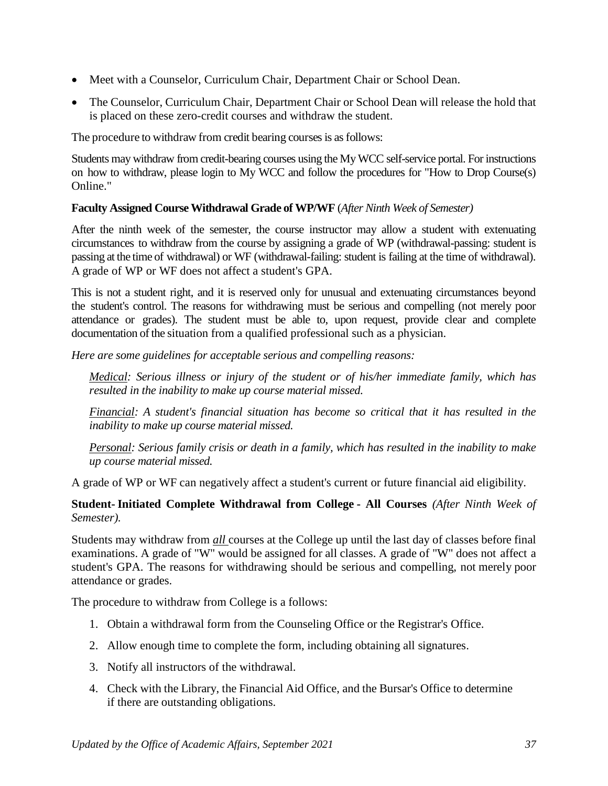- Meet with a Counselor, Curriculum Chair, Department Chair or School Dean.
- The Counselor, Curriculum Chair, Department Chair or School Dean will release the hold that is placed on these zero-credit courses and withdraw the student.

The procedure to withdraw from credit bearing courses is as follows:

Students may withdraw from credit-bearing courses using the MyWCC self-service portal. For instructions on how to withdraw, please login to My WCC and follow the procedures for "How to Drop Course(s) Online."

### **Faculty Assigned CourseWithdrawal Grade of WP/WF** (*After Ninth Week of Semester)*

After the ninth week of the semester, the course instructor may allow a student with extenuating circumstances to withdraw from the course by assigning a grade of WP (withdrawal-passing: student is passing at the time of withdrawal) or WF (withdrawal-failing: student is failing at the time of withdrawal). A grade of WP or WF does not affect a student's GPA.

This is not a student right, and it is reserved only for unusual and extenuating circumstances beyond the student's control. The reasons for withdrawing must be serious and compelling (not merely poor attendance or grades). The student must be able to, upon request, provide clear and complete documentation of the situation from a qualified professional such as a physician.

*Here are some guidelines for acceptable serious and compelling reasons:*

*Medical: Serious illness or injury of the student or of his/her immediate family, which has resulted in the inability to make up course material missed.*

*Financial: A student's financial situation has become so critical that it has resulted in the inability to make up course material missed.*

*Personal: Serious family crisis or death in a family, which has resulted in the inability to make up course material missed.*

A grade of WP or WF can negatively affect a student's current or future financial aid eligibility.

**Student- Initiated Complete Withdrawal from College - All Courses** *(After Ninth Week of Semester).*

Students may withdraw from *all* courses at the College up until the last day of classes before final examinations. A grade of "W" would be assigned for all classes. A grade of "W" does not affect a student's GPA. The reasons for withdrawing should be serious and compelling, not merely poor attendance or grades.

The procedure to withdraw from College is a follows:

- 1. Obtain a withdrawal form from the Counseling Office or the Registrar's Office.
- 2. Allow enough time to complete the form, including obtaining all signatures.
- 3. Notify all instructors of the withdrawal.
- 4. Check with the Library, the Financial Aid Office, and the Bursar's Office to determine if there are outstanding obligations.